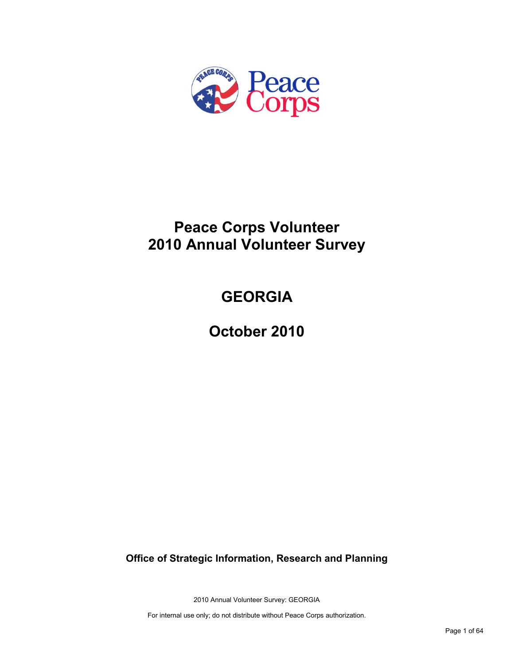

# **Peace Corps Volunteer 2010 Annual Volunteer Survey**

# **GEORGIA**

**October 2010**

**Office of Strategic Information, Research and Planning**

2010 Annual Volunteer Survey: GEORGIA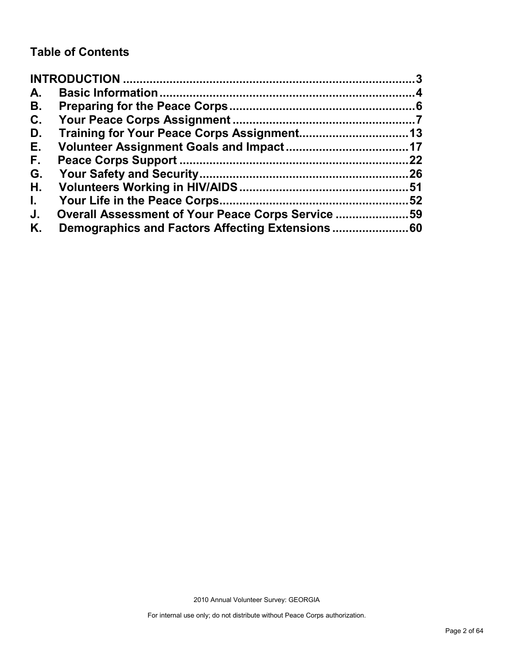# **Table of Contents**

| A.           |                                                   |    |
|--------------|---------------------------------------------------|----|
| В.           |                                                   |    |
| C.           |                                                   |    |
| D.           |                                                   |    |
| Е.           |                                                   |    |
| F.           |                                                   | 22 |
| G.           |                                                   |    |
| Η.           |                                                   |    |
| $\mathbf{L}$ |                                                   | 52 |
| J.           | Overall Assessment of Your Peace Corps Service 59 |    |
| Κ.           |                                                   |    |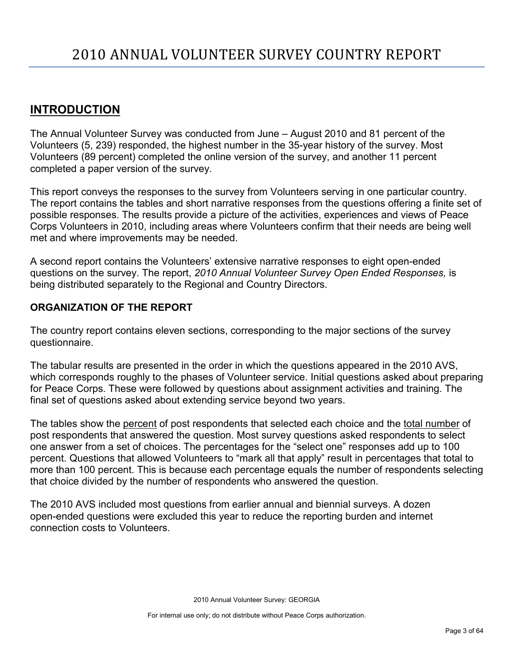# <span id="page-2-0"></span>**INTRODUCTION**

The Annual Volunteer Survey was conducted from June – August 2010 and 81 percent of the Volunteers (5, 239) responded, the highest number in the 35-year history of the survey. Most Volunteers (89 percent) completed the online version of the survey, and another 11 percent completed a paper version of the survey.

This report conveys the responses to the survey from Volunteers serving in one particular country. The report contains the tables and short narrative responses from the questions offering a finite set of possible responses. The results provide a picture of the activities, experiences and views of Peace Corps Volunteers in 2010, including areas where Volunteers confirm that their needs are being well met and where improvements may be needed.

A second report contains the Volunteers' extensive narrative responses to eight open-ended questions on the survey. The report, *2010 Annual Volunteer Survey Open Ended Responses,* is being distributed separately to the Regional and Country Directors.

## **ORGANIZATION OF THE REPORT**

The country report contains eleven sections, corresponding to the major sections of the survey questionnaire.

The tabular results are presented in the order in which the questions appeared in the 2010 AVS, which corresponds roughly to the phases of Volunteer service. Initial questions asked about preparing for Peace Corps. These were followed by questions about assignment activities and training. The final set of questions asked about extending service beyond two years.

The tables show the percent of post respondents that selected each choice and the total number of post respondents that answered the question. Most survey questions asked respondents to select one answer from a set of choices. The percentages for the "select one" responses add up to 100 percent. Questions that allowed Volunteers to "mark all that apply" result in percentages that total to more than 100 percent. This is because each percentage equals the number of respondents selecting that choice divided by the number of respondents who answered the question.

The 2010 AVS included most questions from earlier annual and biennial surveys. A dozen open-ended questions were excluded this year to reduce the reporting burden and internet connection costs to Volunteers.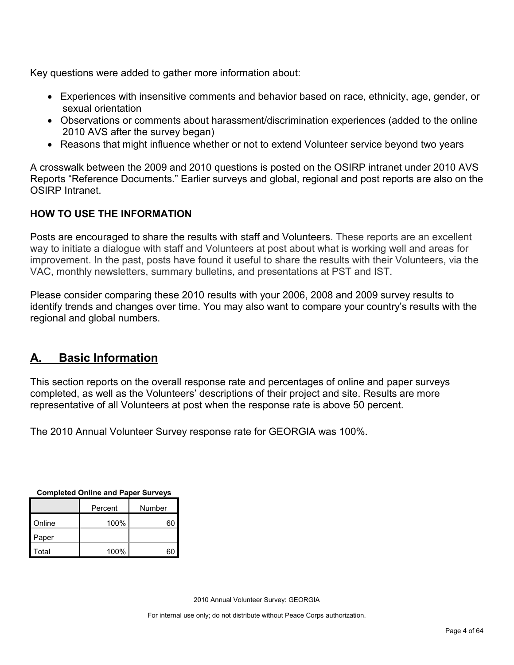Key questions were added to gather more information about:

- Experiences with insensitive comments and behavior based on race, ethnicity, age, gender, or sexual orientation
- Observations or comments about harassment/discrimination experiences (added to the online 2010 AVS after the survey began)
- Reasons that might influence whether or not to extend Volunteer service beyond two years

A crosswalk between the 2009 and 2010 questions is posted on the OSIRP intranet under 2010 AVS Reports "Reference Documents." Earlier surveys and global, regional and post reports are also on the OSIRP Intranet.

# **HOW TO USE THE INFORMATION**

Posts are encouraged to share the results with staff and Volunteers. These reports are an excellent way to initiate a dialogue with staff and Volunteers at post about what is working well and areas for improvement. In the past, posts have found it useful to share the results with their Volunteers, via the VAC, monthly newsletters, summary bulletins, and presentations at PST and IST.

Please consider comparing these 2010 results with your 2006, 2008 and 2009 survey results to identify trends and changes over time. You may also want to compare your country's results with the regional and global numbers.

# <span id="page-3-0"></span>**A. Basic Information**

This section reports on the overall response rate and percentages of online and paper surveys completed, as well as the Volunteers' descriptions of their project and site. Results are more representative of all Volunteers at post when the response rate is above 50 percent.

The 2010 Annual Volunteer Survey response rate for GEORGIA was 100%.

| <b>Sompleted Online and I apel Ourveys</b> |         |        |  |  |  |
|--------------------------------------------|---------|--------|--|--|--|
|                                            | Percent | Number |  |  |  |
| Online                                     | 100%    | 60     |  |  |  |
| Paper                                      |         |        |  |  |  |
| Total                                      | 100%    | 60     |  |  |  |

**Completed Online and Paper Surveys**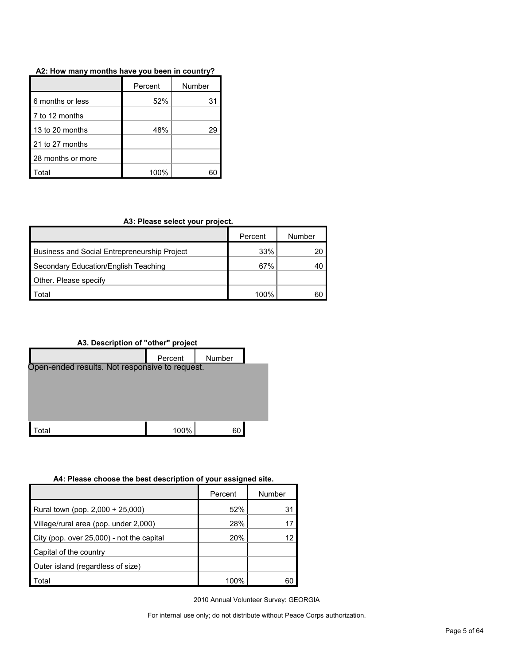#### **A2: How many months have you been in country?**

|                   | Percent | Number |
|-------------------|---------|--------|
| 6 months or less  | 52%     | 31     |
| 7 to 12 months    |         |        |
| 13 to 20 months   | 48%     | 29     |
| 21 to 27 months   |         |        |
| 28 months or more |         |        |
| otal              | 100%    |        |

#### **A3: Please select your project.**

|                                                     | Percent | Number |
|-----------------------------------------------------|---------|--------|
| <b>Business and Social Entrepreneurship Project</b> | 33%     |        |
| Secondary Education/English Teaching                | 67%     |        |
| Other. Please specify                               |         |        |
| ⊤otal                                               | 100%    | 60     |



#### **A4: Please choose the best description of your assigned site.**

|                                           | Percent | Number |
|-------------------------------------------|---------|--------|
| Rural town (pop. 2,000 + 25,000)          | 52%     | 31     |
| Village/rural area (pop. under 2,000)     | 28%     |        |
| City (pop. over 25,000) - not the capital | 20%     |        |
| Capital of the country                    |         |        |
| Outer island (regardless of size)         |         |        |
| Total                                     | 100%    |        |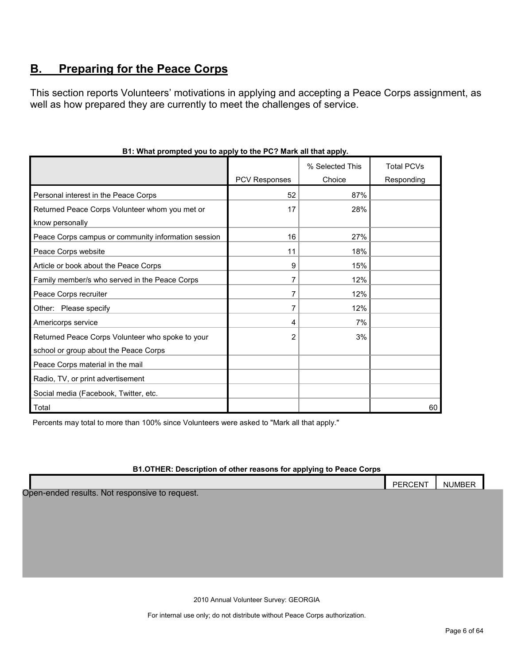# <span id="page-5-0"></span>**B. Preparing for the Peace Corps**

This section reports Volunteers' motivations in applying and accepting a Peace Corps assignment, as well as how prepared they are currently to meet the challenges of service.

|                                                     |                      | % Selected This | <b>Total PCVs</b> |
|-----------------------------------------------------|----------------------|-----------------|-------------------|
|                                                     | <b>PCV Responses</b> | Choice          | Responding        |
| Personal interest in the Peace Corps                | 52                   | 87%             |                   |
| Returned Peace Corps Volunteer whom you met or      | 17                   | 28%             |                   |
| know personally                                     |                      |                 |                   |
| Peace Corps campus or community information session | 16                   | 27%             |                   |
| Peace Corps website                                 | 11                   | 18%             |                   |
| Article or book about the Peace Corps               | 9                    | 15%             |                   |
| Family member/s who served in the Peace Corps       | $\overline{7}$       | 12%             |                   |
| Peace Corps recruiter                               | 7                    | 12%             |                   |
| Other: Please specify                               | 7                    | 12%             |                   |
| Americorps service                                  | 4                    | 7%              |                   |
| Returned Peace Corps Volunteer who spoke to your    | $\overline{2}$       | 3%              |                   |
| school or group about the Peace Corps               |                      |                 |                   |
| Peace Corps material in the mail                    |                      |                 |                   |
| Radio, TV, or print advertisement                   |                      |                 |                   |
| Social media (Facebook, Twitter, etc.               |                      |                 |                   |
| l Total                                             |                      |                 | 60                |

#### **B1: What prompted you to apply to the PC? Mark all that apply.**

Percents may total to more than 100% since Volunteers were asked to "Mark all that apply."

#### **B1.OTHER: Description of other reasons for applying to Peace Corps**

|                                                | <b>PERCENT</b> | <b>NUMBER</b> |  |
|------------------------------------------------|----------------|---------------|--|
| Open-ended results. Not responsive to request. |                |               |  |

2010 Annual Volunteer Survey: GEORGIA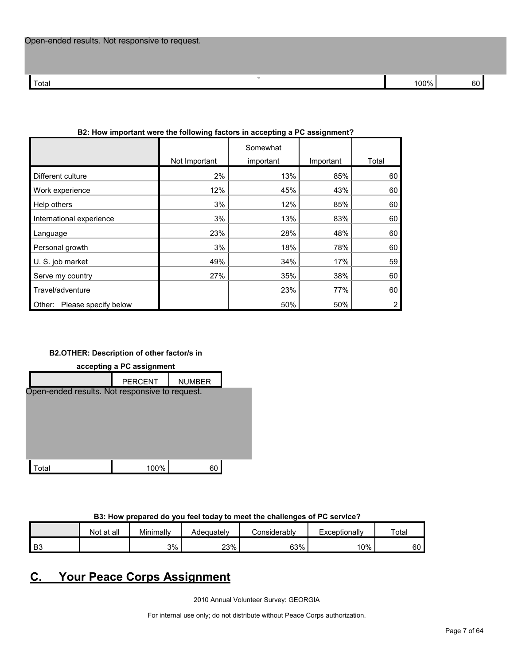|                                | Not Important | Somewhat<br>important | Important | Total |
|--------------------------------|---------------|-----------------------|-----------|-------|
|                                |               |                       |           |       |
| Different culture              | 2%            | 13%                   | 85%       | 60    |
| Work experience                | 12%           | 45%                   | 43%       | 60    |
| Help others                    | 3%            | 12%                   | 85%       | 60    |
| International experience       | 3%            | 13%                   | 83%       | 60    |
| Language                       | 23%           | 28%                   | 48%       | 60    |
| Personal growth                | 3%            | 18%                   | 78%       | 60    |
| U.S. job market                | 49%           | 34%                   | 17%       | 59    |
| Serve my country               | 27%           | 35%                   | 38%       | 60    |
| Travel/adventure               |               | 23%                   | 77%       | 60    |
| Please specify below<br>Other: |               | 50%                   | 50%       | 2     |
|                                |               |                       |           |       |

#### **B2: How important were the following factors in accepting a PC assignment?**

O p

#### **B2.OTHER: Description of other factor/s in**



#### **B3: How prepared do you feel today to meet the challenges of PC service?**

|      | Not at all | Minimally | Adequatelv | onsiderablvٽ | Exceptionally | Total |
|------|------------|-----------|------------|--------------|---------------|-------|
| l B3 |            | 3%        | 23%        | 63%          | 10%           | 60    |

# <span id="page-6-0"></span>**C. Your Peace Corps Assignment**

2010 Annual Volunteer Survey: GEORGIA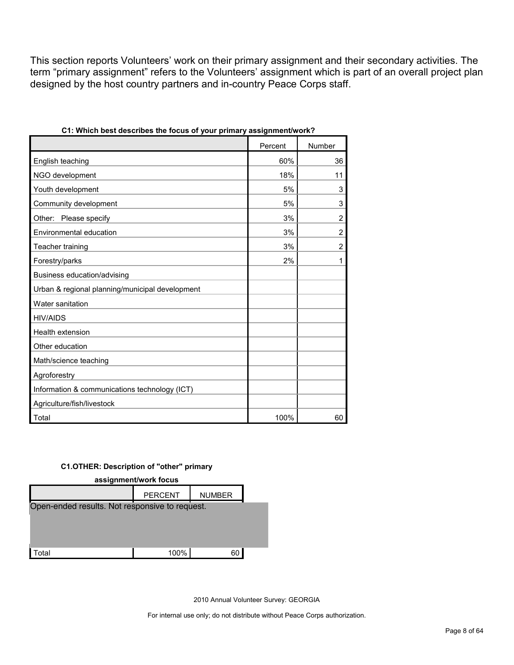This section reports Volunteers' work on their primary assignment and their secondary activities. The term "primary assignment" refers to the Volunteers' assignment which is part of an overall project plan designed by the host country partners and in-country Peace Corps staff.

| $J^{\sim\omega}$ , princes $J$                  |         |                |
|-------------------------------------------------|---------|----------------|
|                                                 | Percent | Number         |
| English teaching                                | 60%     | 36             |
| NGO development                                 | 18%     | 11             |
| Youth development                               | 5%      | 3              |
| Community development                           | 5%      | 3              |
| Other: Please specify                           | 3%      | $\overline{2}$ |
| Environmental education                         | 3%      | $\overline{c}$ |
| Teacher training                                | 3%      | $\overline{2}$ |
| Forestry/parks                                  | 2%      | 1              |
| Business education/advising                     |         |                |
| Urban & regional planning/municipal development |         |                |
| Water sanitation                                |         |                |
| <b>HIV/AIDS</b>                                 |         |                |
| Health extension                                |         |                |
| Other education                                 |         |                |
| Math/science teaching                           |         |                |
| Agroforestry                                    |         |                |
| Information & communications technology (ICT)   |         |                |
| Agriculture/fish/livestock                      |         |                |
| Total                                           | 100%    | 60             |

#### **C1.OTHER: Description of "other" primary**



2010 Annual Volunteer Survey: GEORGIA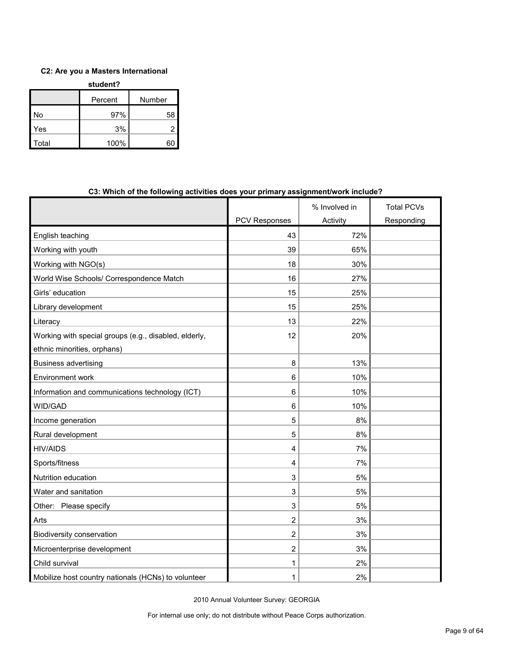#### **C2: Are you a Masters International**

| student? |         |        |  |  |  |
|----------|---------|--------|--|--|--|
|          | Percent | Number |  |  |  |
| No       | 97%     | 58     |  |  |  |
| Yes      | 3%      |        |  |  |  |
| Total    | 100%    |        |  |  |  |

|                                                       |                | % Involved in | <b>Total PCVs</b> |
|-------------------------------------------------------|----------------|---------------|-------------------|
|                                                       | PCV Responses  | Activity      | Responding        |
| English teaching                                      | 43             | 72%           |                   |
| Working with youth                                    | 39             | 65%           |                   |
| Working with NGO(s)                                   | 18             | 30%           |                   |
| World Wise Schools/ Correspondence Match              | 16             | 27%           |                   |
| Girls' education                                      | 15             | 25%           |                   |
| Library development                                   | 15             | 25%           |                   |
| Literacy                                              | 13             | 22%           |                   |
| Working with special groups (e.g., disabled, elderly, | 12             | 20%           |                   |
| ethnic minorities, orphans)                           |                |               |                   |
| <b>Business advertising</b>                           | 8              | 13%           |                   |
| Environment work                                      | 6              | 10%           |                   |
| Information and communications technology (ICT)       | 6              | 10%           |                   |
| WID/GAD                                               | 6              | 10%           |                   |
| Income generation                                     | 5              | 8%            |                   |
| Rural development                                     | 5              | 8%            |                   |
| <b>HIV/AIDS</b>                                       | 4              | 7%            |                   |
| Sports/fitness                                        | 4              | 7%            |                   |
| Nutrition education                                   | 3              | 5%            |                   |
| Water and sanitation                                  | 3              | 5%            |                   |
| Other: Please specify                                 | 3              | 5%            |                   |
| Arts                                                  | 2              | 3%            |                   |
| Biodiversity conservation                             | $\overline{c}$ | 3%            |                   |
| Microenterprise development                           | $\overline{2}$ | 3%            |                   |
| Child survival                                        | 1              | 2%            |                   |
| Mobilize host country nationals (HCNs) to volunteer   | 1              | 2%            |                   |

#### **C3: Which of the following activities does your primary assignment/work include?**

2010 Annual Volunteer Survey: GEORGIA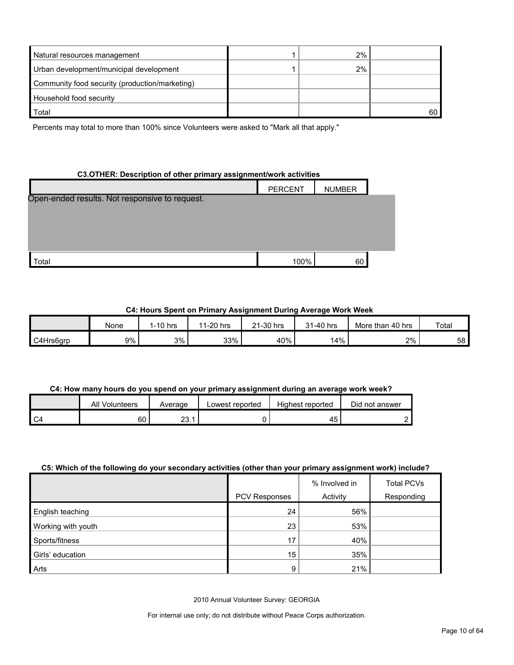| Natural resources management                   | 2% |    |
|------------------------------------------------|----|----|
| Urban development/municipal development        | 2% |    |
| Community food security (production/marketing) |    |    |
| Household food security                        |    |    |
| Total                                          |    | 60 |

Percents may total to more than 100% since Volunteers were asked to "Mark all that apply."

#### **C3.OTHER: Description of other primary assignment/work activities**

|                                                | <b>PERCENT</b> | <b>NUMBER</b> |  |
|------------------------------------------------|----------------|---------------|--|
| Open-ended results. Not responsive to request. |                |               |  |
|                                                |                |               |  |
|                                                |                |               |  |
|                                                |                |               |  |
|                                                |                |               |  |
| Total                                          | 100%           | 60            |  |

#### **C4: Hours Spent on Primary Assignment During Average Work Week**

|           | None  | 1-10 hrs | 1-20 hrs<br>11 | 21-30 hrs | 31-40 hrs | More than 40 hrs | Total |
|-----------|-------|----------|----------------|-----------|-----------|------------------|-------|
| C4Hrs6grp | $9\%$ | 3%       | 33%            | 40%       | 14%       | 2%               | 58    |

#### **C4: How many hours do you spend on your primary assignment during an average work week?**

|     | All Volunteers | Average   | Lowest reported | Highest reported | Did not answer |
|-----|----------------|-----------|-----------------|------------------|----------------|
| ۹C4 | 60             | ົດ<br>۷υ. |                 | 45               |                |

#### **C5: Which of the following do your secondary activities (other than your primary assignment work) include?**

|                    |                      | % Involved in | <b>Total PCVs</b> |
|--------------------|----------------------|---------------|-------------------|
|                    | <b>PCV Responses</b> | Activity      | Responding        |
| English teaching   | 24                   | 56%           |                   |
| Working with youth | 23                   | 53%           |                   |
| Sports/fitness     | 17 <sub>1</sub>      | 40%           |                   |
| Girls' education   | 15                   | 35%           |                   |
| Arts               | 9                    | 21%           |                   |

2010 Annual Volunteer Survey: GEORGIA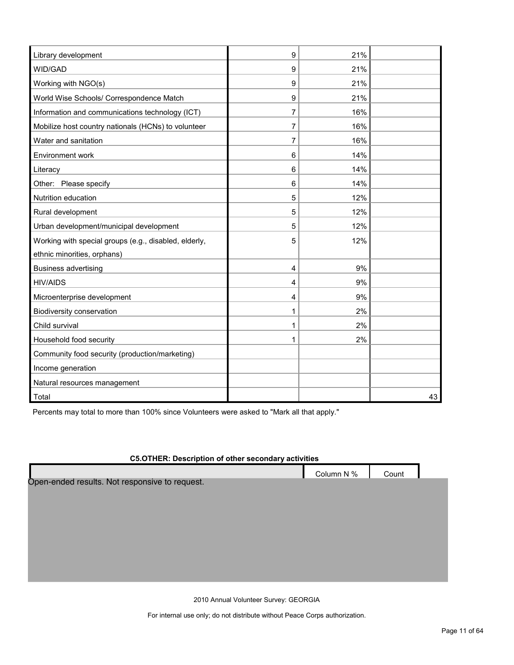| Library development                                   | 9 | 21% |    |
|-------------------------------------------------------|---|-----|----|
| WID/GAD                                               | 9 | 21% |    |
| Working with NGO(s)                                   | 9 | 21% |    |
| World Wise Schools/ Correspondence Match              | 9 | 21% |    |
| Information and communications technology (ICT)       | 7 | 16% |    |
| Mobilize host country nationals (HCNs) to volunteer   | 7 | 16% |    |
| Water and sanitation                                  | 7 | 16% |    |
| Environment work                                      | 6 | 14% |    |
| Literacy                                              | 6 | 14% |    |
| Other: Please specify                                 | 6 | 14% |    |
| Nutrition education                                   | 5 | 12% |    |
| Rural development                                     | 5 | 12% |    |
| Urban development/municipal development               | 5 | 12% |    |
| Working with special groups (e.g., disabled, elderly, | 5 | 12% |    |
| ethnic minorities, orphans)                           |   |     |    |
| <b>Business advertising</b>                           | 4 | 9%  |    |
| <b>HIV/AIDS</b>                                       | 4 | 9%  |    |
| Microenterprise development                           | 4 | 9%  |    |
| Biodiversity conservation                             | 1 | 2%  |    |
| Child survival                                        | 1 | 2%  |    |
| Household food security                               | 1 | 2%  |    |
| Community food security (production/marketing)        |   |     |    |
| Income generation                                     |   |     |    |
| Natural resources management                          |   |     |    |
| Total                                                 |   |     | 43 |

Percents may total to more than 100% since Volunteers were asked to "Mark all that apply."

# **C5.OTHER: Description of other secondary activities** Column N % Count Open-ended results. Not responsive to request.

2010 Annual Volunteer Survey: GEORGIA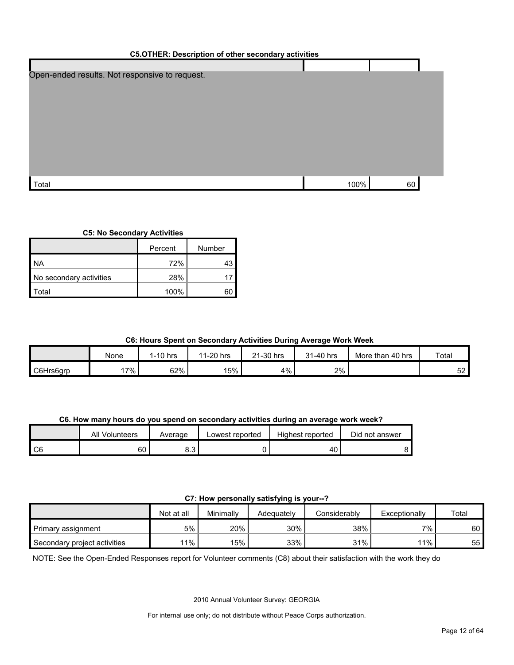| <b>C5.OTHER: Description of other secondary activities</b> |      |    |  |  |  |  |  |
|------------------------------------------------------------|------|----|--|--|--|--|--|
|                                                            |      |    |  |  |  |  |  |
| Open-ended results. Not responsive to request.             |      |    |  |  |  |  |  |
|                                                            |      |    |  |  |  |  |  |
|                                                            |      |    |  |  |  |  |  |
|                                                            |      |    |  |  |  |  |  |
|                                                            |      |    |  |  |  |  |  |
|                                                            |      |    |  |  |  |  |  |
|                                                            |      |    |  |  |  |  |  |
|                                                            |      |    |  |  |  |  |  |
|                                                            |      |    |  |  |  |  |  |
| Total                                                      | 100% | 60 |  |  |  |  |  |

#### **C5: No Secondary Activities**

|                         | Percent | Number |
|-------------------------|---------|--------|
| NA.                     | 72%     |        |
| No secondary activities | 28%     |        |
| <sup>-</sup> otal       | 100%    |        |

#### **C6: Hours Spent on Secondary Activities During Average Work Week**

|           | None   | $1-10$ hrs | 11-20 hrs | 21-30 hrs | 31-40 hrs | More than 40 hrs | Total |
|-----------|--------|------------|-----------|-----------|-----------|------------------|-------|
| C6Hrs6grp | $17\%$ | 62%        | 15%       | 4%        | 2%        |                  | 52    |

**C6. How many hours do you spend on secondary activities during an average work week?**

|    | All<br>Volunteers | Average | Lowest reported | Highest reported | Did not answer |
|----|-------------------|---------|-----------------|------------------|----------------|
| C6 | 60                | ບ.ບ     |                 | ^<br>4U          |                |

#### **C7: How personally satisfying is your--?**

|                              | Not at all | Minimally |            | Considerably | Exceptionally | Total |
|------------------------------|------------|-----------|------------|--------------|---------------|-------|
|                              |            |           | Adeauatelv |              |               |       |
| Primary assignment           | 5%         | 20%       | 30%        | 38%          | $7\%$         | 60    |
| Secondary project activities | 11%        | 15%       | 33%        | 31%          | 11%           | 55    |

NOTE: See the Open-Ended Responses report for Volunteer comments (C8) about their satisfaction with the work they do

2010 Annual Volunteer Survey: GEORGIA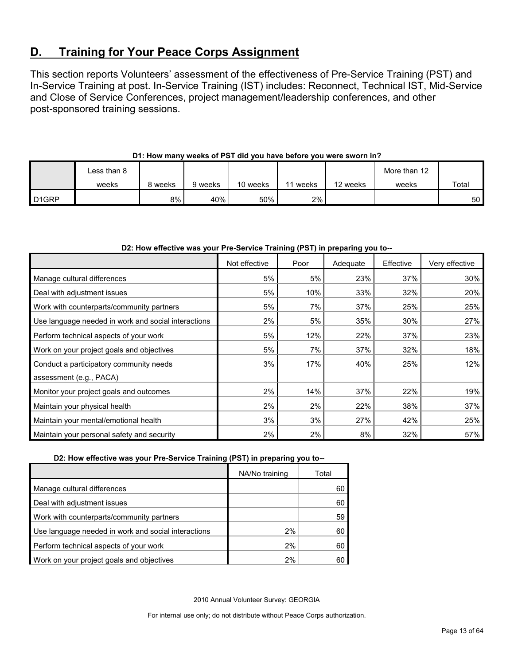# <span id="page-12-0"></span>**D. Training for Your Peace Corps Assignment**

This section reports Volunteers' assessment of the effectiveness of Pre-Service Training (PST) and In-Service Training at post. In-Service Training (IST) includes: Reconnect, Technical IST, Mid-Service and Close of Service Conferences, project management/leadership conferences, and other post-sponsored training sessions.

|                    | Less than 8 |         |         |          |       |          | More than 12 |                 |
|--------------------|-------------|---------|---------|----------|-------|----------|--------------|-----------------|
|                    | weeks       | 8 weeks | 9 weeks | 10 weeks | weeks | 12 weeks | weeks        | Total           |
| D <sub>1</sub> GRP |             | 8%      | 40%     | 50%      | 2%    |          |              | 50 <sub>1</sub> |

#### **D1: How many weeks of PST did you have before you were sworn in?**

#### **D2: How effective was your Pre-Service Training (PST) in preparing you to--**

|                                                     | Not effective | Poor | Adequate | Effective | Very effective |
|-----------------------------------------------------|---------------|------|----------|-----------|----------------|
| Manage cultural differences                         | 5%            | 5%   | 23%      | 37%       | 30%            |
| Deal with adjustment issues                         | 5%            | 10%  | 33%      | 32%       | 20%            |
| Work with counterparts/community partners           | 5%            | 7%   | 37%      | 25%       | 25%            |
| Use language needed in work and social interactions | 2%            | 5%   | 35%      | 30%       | 27%            |
| Perform technical aspects of your work              | 5%            | 12%  | 22%      | 37%       | 23%            |
| Work on your project goals and objectives           | 5%            | 7%   | 37%      | 32%       | 18%            |
| Conduct a participatory community needs             | 3%            | 17%  | 40%      | 25%       | 12%            |
| assessment (e.g., PACA)                             |               |      |          |           |                |
| Monitor your project goals and outcomes             | 2%            | 14%  | 37%      | 22%       | 19%            |
| Maintain your physical health                       | 2%            | 2%   | 22%      | 38%       | 37%            |
| Maintain your mental/emotional health               | 3%            | 3%   | 27%      | 42%       | 25%            |
| Maintain your personal safety and security          | 2%            | 2%   | 8%       | 32%       | 57%            |

**D2: How effective was your Pre-Service Training (PST) in preparing you to--**

|                                                     | NA/No training | Total |
|-----------------------------------------------------|----------------|-------|
| Manage cultural differences                         |                | 60    |
| Deal with adjustment issues                         |                | 60    |
| Work with counterparts/community partners           |                | 59    |
| Use language needed in work and social interactions | 2%             | 60    |
| Perform technical aspects of your work              | 2%             | 60    |
| Work on your project goals and objectives           | 2%             | 60    |

2010 Annual Volunteer Survey: GEORGIA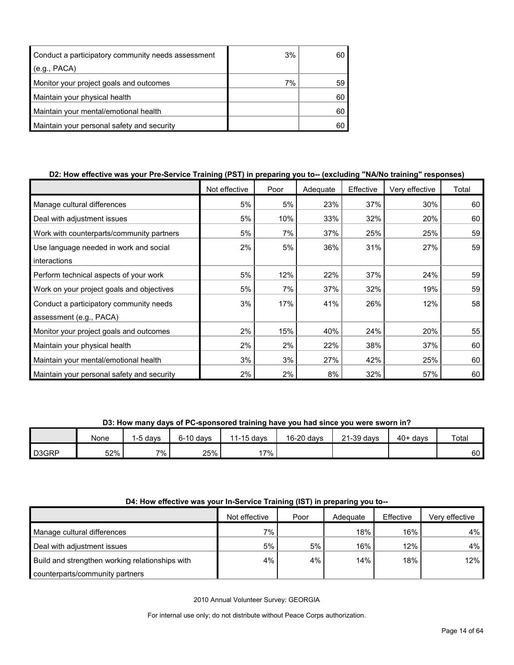| Conduct a participatory community needs assessment | 3% |    |
|----------------------------------------------------|----|----|
| (e.g., PACA)                                       |    |    |
| Monitor your project goals and outcomes            | 7% | 59 |
| Maintain your physical health                      |    | 60 |
| Maintain your mental/emotional health              |    | 60 |
| Maintain your personal safety and security         |    |    |

#### **D2: How effective was your Pre-Service Training (PST) in preparing you to-- (excluding "NA/No training" responses)**

|                                            | Not effective | Poor | Adequate | Effective | Very effective | Total |
|--------------------------------------------|---------------|------|----------|-----------|----------------|-------|
| Manage cultural differences                | 5%            | 5%   | 23%      | 37%       | 30%            | 60    |
| Deal with adjustment issues                | 5%            | 10%  | 33%      | 32%       | 20%            | 60    |
| Work with counterparts/community partners  | 5%            | 7%   | 37%      | 25%       | 25%            | 59    |
| Use language needed in work and social     | 2%            | 5%   | 36%      | 31%       | 27%            | 59    |
| interactions                               |               |      |          |           |                |       |
| Perform technical aspects of your work     | 5%            | 12%  | 22%      | 37%       | 24%            | 59    |
| Work on your project goals and objectives  | 5%            | 7%   | 37%      | 32%       | 19%            | 59    |
| Conduct a participatory community needs    | 3%            | 17%  | 41%      | 26%       | 12%            | 58    |
| assessment (e.g., PACA)                    |               |      |          |           |                |       |
| Monitor your project goals and outcomes    | 2%            | 15%  | 40%      | 24%       | 20%            | 55    |
| Maintain your physical health              | 2%            | 2%   | 22%      | 38%       | 37%            | 60    |
| Maintain your mental/emotional health      | 3%            | 3%   | 27%      | 42%       | 25%            | 60    |
| Maintain your personal safety and security | 2%            | 2%   | 8%       | 32%       | 57%            | 60    |

**D3: How many days of PC-sponsored training have you had since you were sworn in?**

|       | None | 1-5 davs | $6-10$ davs | 11-15 days | 16-20 days | 21-39 days | $40+ days$ | Total           |
|-------|------|----------|-------------|------------|------------|------------|------------|-----------------|
| D3GRP | 52%  | 7%.      | 25%         | $17\%$     |            |            |            | 60 <sup>1</sup> |

#### **D4: How effective was your In-Service Training (IST) in preparing you to--**

|                                                 | Not effective | Poor | Adequate | Effective | Very effective |
|-------------------------------------------------|---------------|------|----------|-----------|----------------|
| Manage cultural differences                     | $7\%$         |      | 18%      | 16%       | $4\%$          |
| Deal with adjustment issues                     | 5%            | 5%   | 16%      | 12%       | $4\%$          |
| Build and strengthen working relationships with | 4%            | 4%   | 14%      | 18%       | 12%            |
| counterparts/community partners                 |               |      |          |           |                |

2010 Annual Volunteer Survey: GEORGIA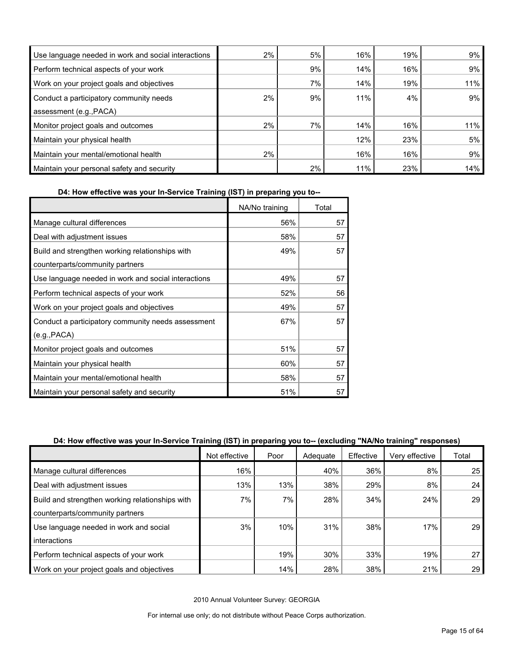| Use language needed in work and social interactions | 2% | 5% | 16% | 19% | 9%  |
|-----------------------------------------------------|----|----|-----|-----|-----|
| Perform technical aspects of your work              |    | 9% | 14% | 16% | 9%  |
| Work on your project goals and objectives           |    | 7% | 14% | 19% | 11% |
| Conduct a participatory community needs             | 2% | 9% | 11% | 4%  | 9%  |
| assessment (e.g., PACA)                             |    |    |     |     |     |
| Monitor project goals and outcomes                  | 2% | 7% | 14% | 16% | 11% |
| Maintain your physical health                       |    |    | 12% | 23% | 5%  |
| Maintain your mental/emotional health               | 2% |    | 16% | 16% | 9%  |
| Maintain your personal safety and security          |    | 2% | 11% | 23% | 14% |

**D4: How effective was your In-Service Training (IST) in preparing you to--**

|                                                     | NA/No training | Total |
|-----------------------------------------------------|----------------|-------|
| Manage cultural differences                         | 56%            | 57    |
| Deal with adjustment issues                         | 58%            | 57    |
| Build and strengthen working relationships with     | 49%            | 57    |
| counterparts/community partners                     |                |       |
| Use language needed in work and social interactions | 49%            | 57    |
| Perform technical aspects of your work              | 52%            | 56    |
| Work on your project goals and objectives           | 49%            | 57    |
| Conduct a participatory community needs assessment  | 67%            | 57    |
| (e.g., PACA)                                        |                |       |
| Monitor project goals and outcomes                  | 51%            | 57    |
| Maintain your physical health                       | 60%            | 57    |
| Maintain your mental/emotional health               | 58%            | 57    |
| Maintain your personal safety and security          | 51%            | 57    |

#### **D4: How effective was your In-Service Training (IST) in preparing you to-- (excluding "NA/No training" responses)**

|                                                 | Not effective | Poor | Adequate | Effective | Very effective | Total           |
|-------------------------------------------------|---------------|------|----------|-----------|----------------|-----------------|
| Manage cultural differences                     | 16%           |      | 40%      | 36%       | 8%             | 25              |
| Deal with adjustment issues                     | 13%           | 13%  | 38%      | 29%       | 8%             | 24              |
| Build and strengthen working relationships with | 7%            | 7%   | 28%      | 34%       | 24%            | 29              |
| counterparts/community partners                 |               |      |          |           |                |                 |
| Use language needed in work and social          | 3%            | 10%  | 31%      | 38%       | 17%            | 29              |
| interactions                                    |               |      |          |           |                |                 |
| Perform technical aspects of your work          |               | 19%  | 30%      | 33%       | 19%            | 27              |
| Work on your project goals and objectives       |               | 14%  | 28%      | 38%       | 21%            | 29 <sub>1</sub> |

2010 Annual Volunteer Survey: GEORGIA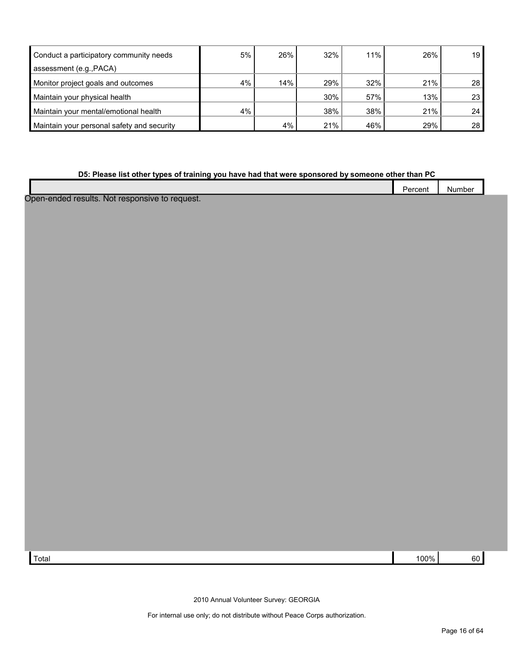| Conduct a participatory community needs    | 5% | 26% | 32% | 11% | 26% | 19 <sup>°</sup> |
|--------------------------------------------|----|-----|-----|-----|-----|-----------------|
| assessment (e.g., PACA)                    |    |     |     |     |     |                 |
| Monitor project goals and outcomes         | 4% | 14% | 29% | 32% | 21% | 28              |
| Maintain your physical health              |    |     | 30% | 57% | 13% | 23 <sub>1</sub> |
| Maintain your mental/emotional health      | 4% |     | 38% | 38% | 21% | 24 <sup>1</sup> |
| Maintain your personal safety and security |    | 4%  | 21% | 46% | 29% | 28 <sub>1</sub> |

#### **D5: Please list other types of training you have had that were sponsored by someone other than PC**

| $-$<br>_<br>Percent | Number |  |
|---------------------|--------|--|
|                     |        |  |
|                     |        |  |

Open-ended results. Not responsive to request.

 $\lceil \text{Total} \rceil$  100% 60  $\lceil \text{Total} \rceil$  100% 60  $\lceil \text{Total} \rceil$  100% 60  $\lceil \text{Total} \rceil$ 

2010 Annual Volunteer Survey: GEORGIA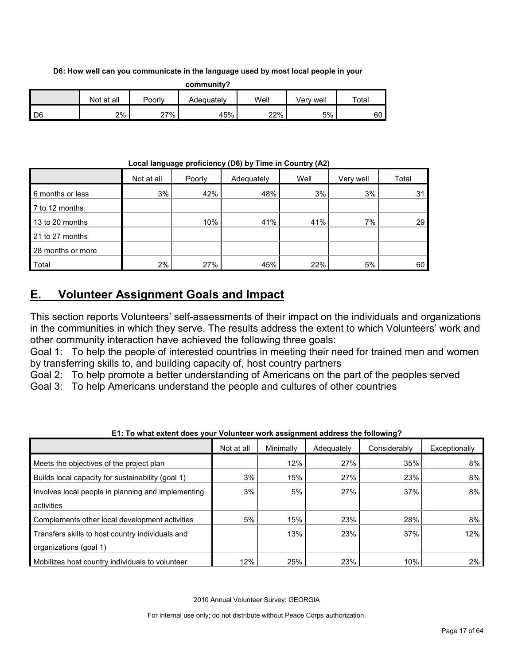#### **D6: How well can you communicate in the language used by most local people in your**

| community? |            |        |            |      |           |       |
|------------|------------|--------|------------|------|-----------|-------|
|            | Not at all | Poorlv | Adequatelv | Well | Verv well | Total |
| D6         | 2%         | 27%    | 45%        | 22%  | 5%        | 60    |

#### **Local language proficiency (D6) by Time in Country (A2)**

|                   | Not at all | Poorly | Adequately | Well | Very well | Total |
|-------------------|------------|--------|------------|------|-----------|-------|
| 6 months or less  | 3%         | 42%    | 48%        | 3%   | 3%        | 31    |
| 7 to 12 months    |            |        |            |      |           |       |
| 13 to 20 months   |            | 10%    | 41%        | 41%  | 7%        | 29    |
| 21 to 27 months   |            |        |            |      |           |       |
| 28 months or more |            |        |            |      |           |       |
| Total             | 2%         | 27%    | 45%        | 22%  | 5%        | 60    |

# <span id="page-16-0"></span>**E. Volunteer Assignment Goals and Impact**

This section reports Volunteers' self-assessments of their impact on the individuals and organizations in the communities in which they serve. The results address the extent to which Volunteers' work and other community interaction have achieved the following three goals:

Goal 1: To help the people of interested countries in meeting their need for trained men and women by transferring skills to, and building capacity of, host country partners

Goal 2: To help promote a better understanding of Americans on the part of the peoples served

Goal 3: To help Americans understand the people and cultures of other countries

|                                                    | Not at all | Minimally | Adequately | Considerably | Exceptionally |
|----------------------------------------------------|------------|-----------|------------|--------------|---------------|
| Meets the objectives of the project plan           |            | 12%       | 27%        | 35%          | 8%            |
| Builds local capacity for sustainability (goal 1)  | 3%         | 15%       | 27%        | 23%          | 8%            |
| Involves local people in planning and implementing | 3%         | 5%        | 27%        | 37%          | 8%            |
| activities                                         |            |           |            |              |               |
| Complements other local development activities     | 5%         | 15%       | 23%        | 28%          | 8%            |
| Transfers skills to host country individuals and   |            | 13%       | 23%        | 37%          | 12%           |
| organizations (goal 1)                             |            |           |            |              |               |
| Mobilizes host country individuals to volunteer    | 12%        | 25%       | 23%        | 10%          | 2%            |

**E1: To what extent does your Volunteer work assignment address the following?**

2010 Annual Volunteer Survey: GEORGIA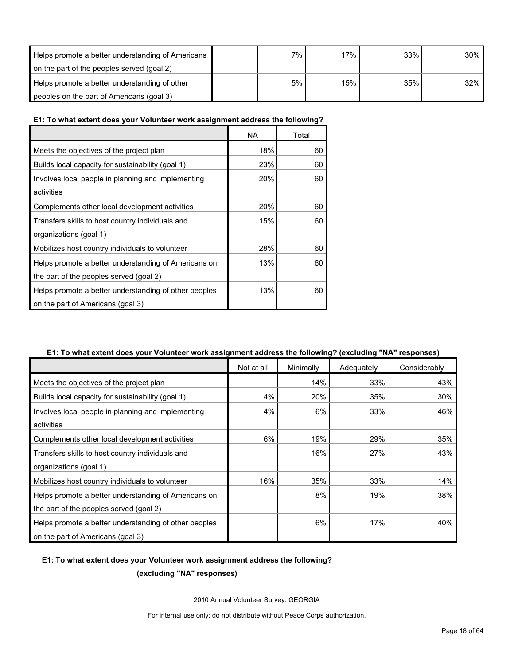| Helps promote a better understanding of Americans | $7\%$ | 17% | 33% | $30\%$ |
|---------------------------------------------------|-------|-----|-----|--------|
| on the part of the peoples served (goal 2)        |       |     |     |        |
| Helps promote a better understanding of other     | 5%    | 15% | 35% | 32%    |
| peoples on the part of Americans (goal 3)         |       |     |     |        |

#### **E1: To what extent does your Volunteer work assignment address the following?**

|                                                       | <b>NA</b> | Total |
|-------------------------------------------------------|-----------|-------|
| Meets the objectives of the project plan              | 18%       | 60    |
| Builds local capacity for sustainability (goal 1)     | 23%       | 60    |
| Involves local people in planning and implementing    | 20%       | 60    |
| activities                                            |           |       |
| Complements other local development activities        | 20%       | 60    |
| Transfers skills to host country individuals and      | 15%       | 60    |
| organizations (goal 1)                                |           |       |
| Mobilizes host country individuals to volunteer       | 28%       | 60    |
| Helps promote a better understanding of Americans on  | 13%       | 60    |
| the part of the peoples served (goal 2)               |           |       |
| Helps promote a better understanding of other peoples | 13%       | 60    |
| on the part of Americans (goal 3)                     |           |       |

#### **E1: To what extent does your Volunteer work assignment address the following? (excluding "NA" responses)**

|                                                       | Not at all | Minimally | Adequately | Considerably |
|-------------------------------------------------------|------------|-----------|------------|--------------|
| Meets the objectives of the project plan              |            | 14%       | 33%        | 43%          |
| Builds local capacity for sustainability (goal 1)     | 4%         | 20%       | 35%        | $30\%$       |
| Involves local people in planning and implementing    | 4%         | 6%        | 33%        | 46%          |
| activities                                            |            |           |            |              |
| Complements other local development activities        | 6%         | 19%       | 29%        | 35%          |
| Transfers skills to host country individuals and      |            | 16%       | 27%        | 43%          |
| organizations (goal 1)                                |            |           |            |              |
| Mobilizes host country individuals to volunteer       | 16%        | 35%       | 33%        | 14%          |
| Helps promote a better understanding of Americans on  |            | 8%        | 19%        | 38%          |
| the part of the peoples served (goal 2)               |            |           |            |              |
| Helps promote a better understanding of other peoples |            | 6%        | 17%        | 40%          |
| on the part of Americans (goal 3)                     |            |           |            |              |

#### **E1: To what extent does your Volunteer work assignment address the following?**

**(excluding "NA" responses)**

2010 Annual Volunteer Survey: GEORGIA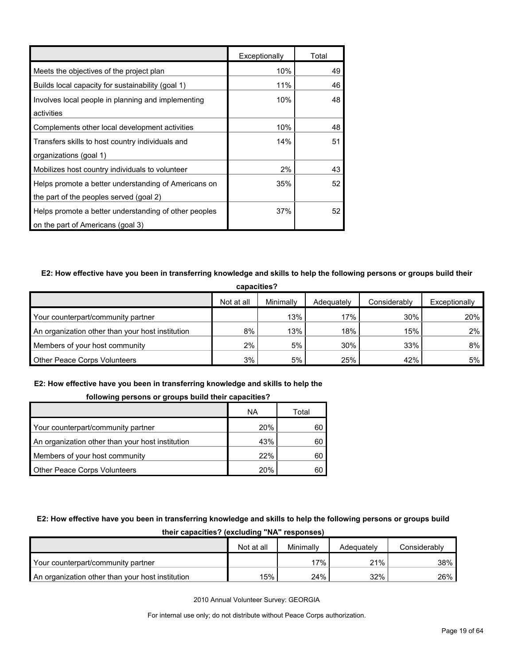|                                                       | Exceptionally | Total |
|-------------------------------------------------------|---------------|-------|
| Meets the objectives of the project plan              | 10%           | 49    |
| Builds local capacity for sustainability (goal 1)     | 11%           | 46    |
| Involves local people in planning and implementing    | 10%           | 48    |
| activities                                            |               |       |
| Complements other local development activities        | 10%           | 48    |
| Transfers skills to host country individuals and      | 14%           | 51    |
| organizations (goal 1)                                |               |       |
| Mobilizes host country individuals to volunteer       | 2%            | 43    |
| Helps promote a better understanding of Americans on  | 35%           | 52    |
| the part of the peoples served (goal 2)               |               |       |
| Helps promote a better understanding of other peoples | 37%           | 52    |
| on the part of Americans (goal 3)                     |               |       |

#### **E2: How effective have you been in transferring knowledge and skills to help the following persons or groups build their**

| capacities?                                      |            |           |            |              |               |  |
|--------------------------------------------------|------------|-----------|------------|--------------|---------------|--|
|                                                  | Not at all | Minimally | Adequately | Considerably | Exceptionally |  |
| Your counterpart/community partner               |            | 13%       | 17%        | 30%          | 20%           |  |
| An organization other than your host institution | 8%         | 13%       | 18%        | 15%          | 2%1           |  |
| Members of your host community                   | 2%         | 5%        | 30%        | 33%          | 8%            |  |
| <b>Other Peace Corps Volunteers</b>              | 3%         | 5%        | 25%        | 42%          | 5%            |  |

#### **E2: How effective have you been in transferring knowledge and skills to help the**

#### **following persons or groups build their capacities?**

|                                                  | ΝA  | Total |
|--------------------------------------------------|-----|-------|
| Your counterpart/community partner               | 20% | 60    |
| An organization other than your host institution | 43% | 60    |
| Members of your host community                   | 22% | 60    |
| <b>Other Peace Corps Volunteers</b>              | 20% |       |

#### **E2: How effective have you been in transferring knowledge and skills to help the following persons or groups build**

| ultii capacititos: Italiuming INA Tesponstesi    |            |           |            |              |  |  |  |
|--------------------------------------------------|------------|-----------|------------|--------------|--|--|--|
|                                                  | Not at all | Minimally | Adequately | Considerably |  |  |  |
| Your counterpart/community partner               |            | $17\%$    | 21%        | 38%          |  |  |  |
| An organization other than your host institution | 15%        | 24%       | 32%        | 26%          |  |  |  |

**their capacities? (excluding "NA" responses)**

2010 Annual Volunteer Survey: GEORGIA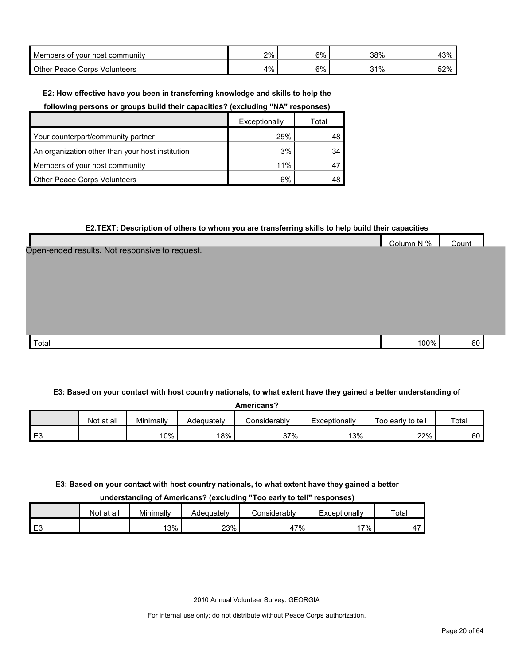| Members of your host community    | 2% | 6% | 38% | /001         |
|-----------------------------------|----|----|-----|--------------|
| Other Peace Corps '<br>Volunteers | 4% | 6% | 31% | こつのん<br>70 ک |

#### **E2: How effective have you been in transferring knowledge and skills to help the**

**following persons or groups build their capacities? (excluding "NA" responses)**

|                                                  | Exceptionally | Total |
|--------------------------------------------------|---------------|-------|
| Your counterpart/community partner               | 25%           | 48    |
| An organization other than your host institution | 3%            | 34    |
| Members of your host community                   | 11%           |       |
| <b>Other Peace Corps Volunteers</b>              | 6%            | 48    |

#### **E2.TEXT: Description of others to whom you are transferring skills to help build their capacities**

|                                                | Column N % | Count |  |
|------------------------------------------------|------------|-------|--|
| Open-ended results. Not responsive to request. |            |       |  |
|                                                |            |       |  |
|                                                |            |       |  |
|                                                |            |       |  |
|                                                |            |       |  |
|                                                |            |       |  |
|                                                |            |       |  |
| Total                                          | 100%       | 60    |  |

#### **E3: Based on your contact with host country nationals, to what extent have they gained a better understanding of**

| <b>Americans?</b> |            |           |            |              |               |                   |       |  |  |  |
|-------------------|------------|-----------|------------|--------------|---------------|-------------------|-------|--|--|--|
|                   | Not at all | Minimallv | Adequately | Considerablv | Exceptionally | Too early to tell | Total |  |  |  |
| E <sub>3</sub>    |            | 10%       | 18%        | 37%          | 13%           | 22%               | 60    |  |  |  |

#### **E3: Based on your contact with host country nationals, to what extent have they gained a better**

**understanding of Americans? (excluding "Too early to tell" responses)**

|      | Not at all | Minimally | Adequatelv | Considerabl∨ | Exceptionally | Total |
|------|------------|-----------|------------|--------------|---------------|-------|
| l E3 |            | 13%       | 23%        | $'7\%$<br>41 | $7\%$         | . .   |

2010 Annual Volunteer Survey: GEORGIA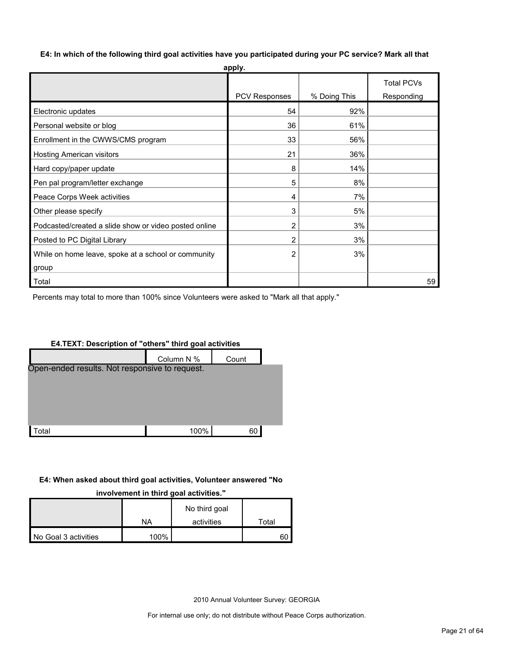**E4: In which of the following third goal activities have you participated during your PC service? Mark all that** 

| apply.                                                |               |              |                   |  |  |  |  |  |  |  |
|-------------------------------------------------------|---------------|--------------|-------------------|--|--|--|--|--|--|--|
|                                                       |               |              | <b>Total PCVs</b> |  |  |  |  |  |  |  |
|                                                       | PCV Responses | % Doing This | Responding        |  |  |  |  |  |  |  |
| Electronic updates                                    | 54            | 92%          |                   |  |  |  |  |  |  |  |
| Personal website or blog                              | 36            | 61%          |                   |  |  |  |  |  |  |  |
| Enrollment in the CWWS/CMS program                    | 33            | 56%          |                   |  |  |  |  |  |  |  |
| Hosting American visitors                             | 21            | 36%          |                   |  |  |  |  |  |  |  |
| Hard copy/paper update                                | 8             | 14%          |                   |  |  |  |  |  |  |  |
| Pen pal program/letter exchange                       | 5             | 8%           |                   |  |  |  |  |  |  |  |
| Peace Corps Week activities                           | 4             | 7%           |                   |  |  |  |  |  |  |  |
| Other please specify                                  | 3             | 5%           |                   |  |  |  |  |  |  |  |
| Podcasted/created a slide show or video posted online | 2             | 3%           |                   |  |  |  |  |  |  |  |
| Posted to PC Digital Library                          | 2             | 3%           |                   |  |  |  |  |  |  |  |
| While on home leave, spoke at a school or community   | 2             | 3%           |                   |  |  |  |  |  |  |  |
| group                                                 |               |              |                   |  |  |  |  |  |  |  |
| Total                                                 |               |              | 59                |  |  |  |  |  |  |  |

Percents may total to more than 100% since Volunteers were asked to "Mark all that apply."

# **E4.TEXT: Description of "others" third goal activities** Column N % Count Total 100% 60 Open-ended results. Not responsive to request.

#### **E4: When asked about third goal activities, Volunteer answered "No**

**involvement in third goal activities."** 

|                      |      | No third goal |       |
|----------------------|------|---------------|-------|
|                      | NA   | activities    | ™otal |
| No Goal 3 activities | 100% |               | 60    |

2010 Annual Volunteer Survey: GEORGIA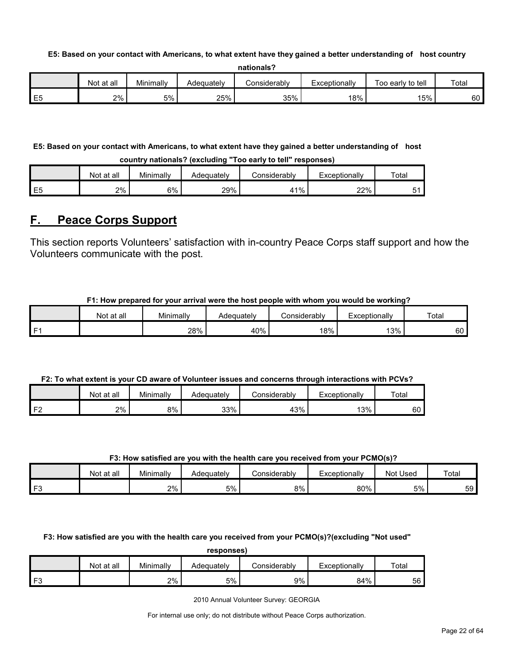#### **E5: Based on your contact with Americans, to what extent have they gained a better understanding of host country**

| nationals? |  |
|------------|--|
|------------|--|

|                  | Not<br>at all | Minimally | Adequately | <b>Considerably</b> | Exceptionally | Too early to tell | Total |
|------------------|---------------|-----------|------------|---------------------|---------------|-------------------|-------|
| $ -$<br>--<br>∟∪ | 2%            | 5%        | 25%        | 35%                 | 18%           | 15%               | 60    |

#### **E5: Based on your contact with Americans, to what extent have they gained a better understanding of host**

**country nationals? (excluding "Too early to tell" responses)**

|                | Not at all | Minimally | Adequately | <i>C</i> onsiderabl∨ | Exceptionally | Total |
|----------------|------------|-----------|------------|----------------------|---------------|-------|
| E <sub>5</sub> | 2%         | 6%        | 29%        | 11%<br>4             | 22%           |       |

# <span id="page-21-0"></span>**F. Peace Corps Support**

This section reports Volunteers' satisfaction with in-country Peace Corps staff support and how the Volunteers communicate with the post.

#### **F1: How prepared for your arrival were the host people with whom you would be working?**

|      | at all<br>Not | Minimally | Adequately | ≿onsiderablv | $\mathsf{\subseteq}$ xceptionally | Total     |
|------|---------------|-----------|------------|--------------|-----------------------------------|-----------|
| l F1 |               | 28%       | 40%        | 18%          | 13%                               | c٥<br>οU. |

#### **F2: To what extent is your CD aware of Volunteer issues and concerns through interactions with PCVs?**

|           | Not at all | Minimally | Adequately | .onsiderablvٽ | Exceptionally | Total |
|-----------|------------|-----------|------------|---------------|---------------|-------|
| ∡ E∩<br>▵ | 2%         | 8%        | 33%        | 43%           | 13%           | 60    |

#### **F3: How satisfied are you with the health care you received from your PCMO(s)?**

|      | Not at all | Minimally | Adequatelv | <i>J</i> onsiderablv | <i>c</i> xceptionally | Not Used | Total |
|------|------------|-----------|------------|----------------------|-----------------------|----------|-------|
| l F3 |            | 2%        | 5%         | 8%                   | 80%                   | 5%       | 59    |

**F3: How satisfied are you with the health care you received from your PCMO(s)?(excluding "Not used"** 

**responses)**

|                     | Not at all | Minimallv | Adequately | ∴onsiderablv | xceptionally | Totai |
|---------------------|------------|-----------|------------|--------------|--------------|-------|
| r <sub>c</sub><br>- |            | 2%        | 5%         | 9%           | 84%          | 56    |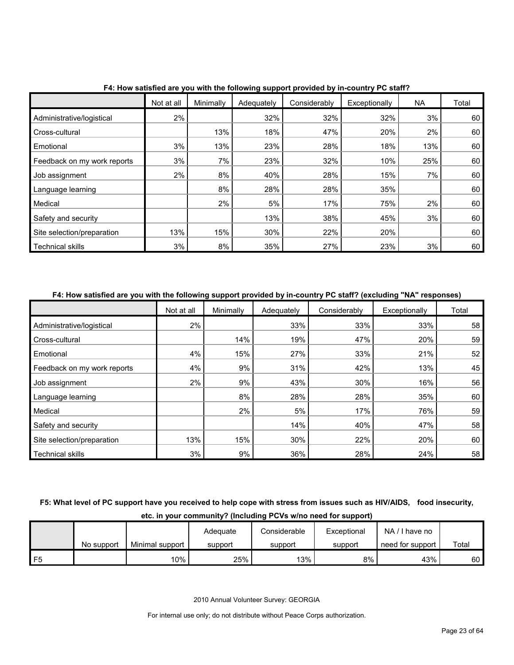|                             | Not at all | Minimally | Adequately | Considerably | Exceptionally | NA  | Total |
|-----------------------------|------------|-----------|------------|--------------|---------------|-----|-------|
| Administrative/logistical   | 2%         |           | 32%        | 32%          | 32%           | 3%  | 60    |
| Cross-cultural              |            | 13%       | 18%        | 47%          | 20%           | 2%  | 60    |
| Emotional                   | 3%         | 13%       | 23%        | 28%          | 18%           | 13% | 60    |
| Feedback on my work reports | 3%         | 7%        | 23%        | 32%          | 10%           | 25% | 60    |
| Job assignment              | 2%         | 8%        | 40%        | 28%          | 15%           | 7%  | 60    |
| Language learning           |            | 8%        | 28%        | 28%          | 35%           |     | 60    |
| Medical                     |            | 2%        | 5%         | 17%          | 75%           | 2%  | 60    |
| Safety and security         |            |           | 13%        | 38%          | 45%           | 3%  | 60    |
| Site selection/preparation  | 13%        | 15%       | 30%        | 22%          | 20%           |     | 60    |
| <b>Technical skills</b>     | 3%         | 8%        | 35%        | 27%          | 23%           | 3%  | 60    |

**F4: How satisfied are you with the following support provided by in-country PC staff?**

#### **F4: How satisfied are you with the following support provided by in-country PC staff? (excluding "NA" responses)**

|                             | Not at all | Minimally | Adequately | Considerably | Exceptionally | Total |
|-----------------------------|------------|-----------|------------|--------------|---------------|-------|
| Administrative/logistical   | 2%         |           | 33%        | 33%          | 33%           | 58    |
| Cross-cultural              |            | 14%       | 19%        | 47%          | 20%           | 59    |
| Emotional                   | 4%         | 15%       | 27%        | 33%          | 21%           | 52    |
| Feedback on my work reports | 4%         | 9%        | 31%        | 42%          | 13%           | 45    |
| Job assignment              | 2%         | 9%        | 43%        | 30%          | 16%           | 56    |
| Language learning           |            | 8%        | 28%        | 28%          | 35%           | 60    |
| Medical                     |            | 2%        | 5%         | 17%          | 76%           | 59    |
| Safety and security         |            |           | 14%        | 40%          | 47%           | 58    |
| Site selection/preparation  | 13%        | 15%       | 30%        | 22%          | 20%           | 60    |
| <b>Technical skills</b>     | 3%         | 9%        | 36%        | 28%          | 24%           | 58    |

## **F5: What level of PC support have you received to help cope with stress from issues such as HIV/AIDS, food insecurity, etc. in your community? (Including PCVs w/no need for support)**

|      |            |                 | Adequate | Considerable | Exceptional | NA/I have no     |       |
|------|------------|-----------------|----------|--------------|-------------|------------------|-------|
|      | No support | Minimal support | support  | support      | support     | need for support | Total |
| 1 F5 |            | 10%             | 25%      | 13%          | 8%          | 43%              | 60    |

2010 Annual Volunteer Survey: GEORGIA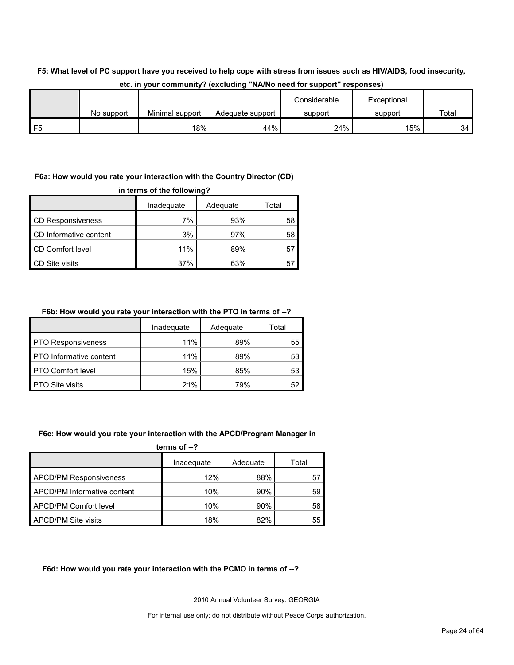#### **F5: What level of PC support have you received to help cope with stress from issues such as HIV/AIDS, food insecurity,**

|    |            |                 |                  | Considerable | Exceptional |       |
|----|------------|-----------------|------------------|--------------|-------------|-------|
|    | No support | Minimal support | Adequate support | support      | support     | Total |
| F5 |            | 18%             | 44%              | 24%          | 15%         | 34    |

#### **etc. in your community? (excluding "NA/No need for support" responses)**

#### **F6a: How would you rate your interaction with the Country Director (CD)**

| in terms of the following? |            |          |       |  |
|----------------------------|------------|----------|-------|--|
|                            | Inadequate | Adequate | Total |  |
| <b>CD Responsiveness</b>   | 7%         | 93%      | 58    |  |
| CD Informative content     | 3%         | 97%      | 58    |  |
| CD Comfort level           | 11%        | 89%      | 57    |  |
| <b>CD Site visits</b>      | 37%        | 63%      | 5     |  |

#### **F6b: How would you rate your interaction with the PTO in terms of --?**

|                                | Inadequate | Adequate | Total |
|--------------------------------|------------|----------|-------|
| <b>PTO Responsiveness</b>      | 11%        | 89%      | 55    |
| <b>PTO</b> Informative content | 11%        | 89%      | 53    |
| <b>PTO Comfort level</b>       | 15%        | 85%      | 53    |
| <b>PTO Site visits</b>         | 21%        | 79%      | 52    |

#### **F6c: How would you rate your interaction with the APCD/Program Manager in**

| terms of $-2$                 |            |          |       |  |
|-------------------------------|------------|----------|-------|--|
|                               | Inadequate | Adequate | Total |  |
| <b>APCD/PM Responsiveness</b> | 12%        | 88%      | 57    |  |
| APCD/PM Informative content   | 10%        | 90%      | 59    |  |
| APCD/PM Comfort level         | 10%        | 90%      | 58    |  |
| <b>APCD/PM Site visits</b>    | 18%        | 82%      | 55    |  |

#### **F6d: How would you rate your interaction with the PCMO in terms of --?**

2010 Annual Volunteer Survey: GEORGIA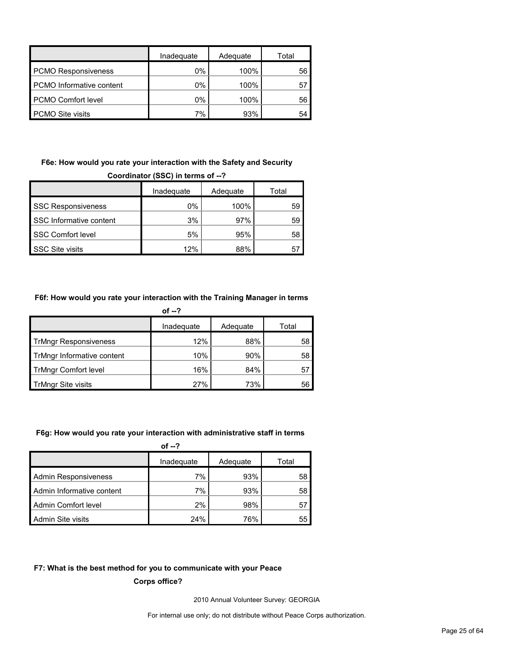|                                 | Inadequate | Adequate | Total |
|---------------------------------|------------|----------|-------|
| <b>PCMO Responsiveness</b>      | $0\%$      | 100%     | 56    |
| <b>PCMO</b> Informative content | $0\%$      | 100%     | 57    |
| <b>PCMO Comfort level</b>       | $0\%$      | 100%     | 56    |
| <b>PCMO Site visits</b>         | 7%         | 93%      | 54    |

# **F6e: How would you rate your interaction with the Safety and Security**

| Coordinator (SSC) in terms of --? |            |          |       |  |
|-----------------------------------|------------|----------|-------|--|
|                                   | Inadequate | Adequate | Total |  |
| <b>SSC Responsiveness</b>         | $0\%$      | 100%     | 59    |  |
| SSC Informative content           | 3%         | 97%      | 59    |  |
| <b>SSC Comfort level</b>          | 5%         | 95%      | 58    |  |
| <b>SSC Site visits</b>            | 12%        | 88%      | 5     |  |

#### **F6f: How would you rate your interaction with the Training Manager in terms**

| of --?                       |            |          |       |  |
|------------------------------|------------|----------|-------|--|
|                              | Inadequate | Adequate | Total |  |
| <b>TrMngr Responsiveness</b> | 12%        | 88%      | 58    |  |
| TrMngr Informative content   | 10%        | 90%      | 58    |  |
| <b>TrMngr Comfort level</b>  | 16%        | 84%      | 57    |  |
| <b>TrMngr Site visits</b>    | 27%        | 73%      | 56    |  |

#### **F6g: How would you rate your interaction with administrative staff in terms**

| of $-2$                   |            |          |       |  |
|---------------------------|------------|----------|-------|--|
|                           | Inadequate | Adequate | Total |  |
| Admin Responsiveness      | 7%         | 93%      | 58    |  |
| Admin Informative content | 7%         | 93%      | 58    |  |
| Admin Comfort level       | $2\%$      | 98%      | 57    |  |
| Admin Site visits         | 24%        | 76%      | 55    |  |

#### **F7: What is the best method for you to communicate with your Peace**

**Corps office?**

2010 Annual Volunteer Survey: GEORGIA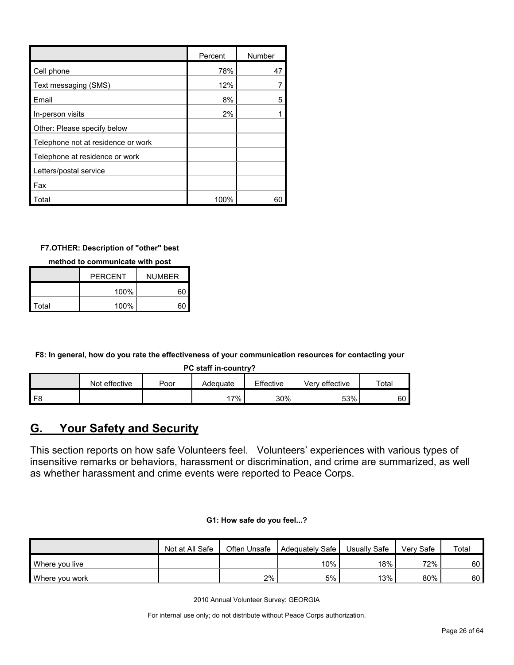|                                    | Percent | Number |
|------------------------------------|---------|--------|
| Cell phone                         | 78%     | 47     |
| Text messaging (SMS)               | 12%     |        |
| Email                              | 8%      | 5      |
| In-person visits                   | 2%      |        |
| Other: Please specify below        |         |        |
| Telephone not at residence or work |         |        |
| Telephone at residence or work     |         |        |
| Letters/postal service             |         |        |
| Fax                                |         |        |
| Total                              | 100%    | 60     |

#### **F7.OTHER: Description of "other" best**

**method to communicate with post**

|       | <b>PERCENT</b> | <b>NUMBER</b> |
|-------|----------------|---------------|
|       | 100%           | 6ſ            |
| Total | 100%           |               |

**F8: In general, how do you rate the effectiveness of your communication resources for contacting your** 

**PC staff in-country?**

|                | effective<br><b>Not</b> | $\overline{P}_{\overline{O}O}$ | Adeɑuate | Effective | Verv effective | Total |
|----------------|-------------------------|--------------------------------|----------|-----------|----------------|-------|
| F <sub>8</sub> |                         |                                | $7\%$    | 30%       | 53%            | 60    |

# <span id="page-25-0"></span>**G. Your Safety and Security**

This section reports on how safe Volunteers feel. Volunteers' experiences with various types of insensitive remarks or behaviors, harassment or discrimination, and crime are summarized, as well as whether harassment and crime events were reported to Peace Corps.

|  |  | G1: How safe do you feel? |
|--|--|---------------------------|
|  |  |                           |

|                | Not at All Safe | Often Unsafe | Adequately Safe | Usually Safe | Verv Safe | Total |
|----------------|-----------------|--------------|-----------------|--------------|-----------|-------|
| Where you live |                 |              | $10\%$          | 18%          | 72%       | 60 l  |
| Where you work |                 | 2%           | 5%              | 13%          | 80%       | 60    |

2010 Annual Volunteer Survey: GEORGIA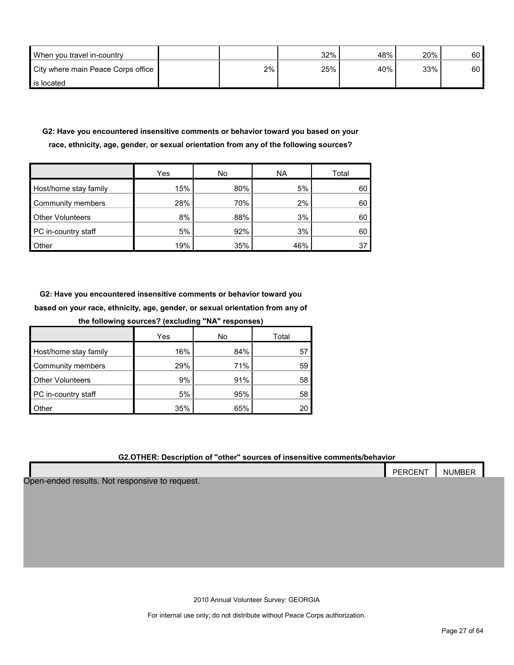| When you travel in-country         |    | 32% | 48% | 20% | 60 |
|------------------------------------|----|-----|-----|-----|----|
| City where main Peace Corps office | 2% | 25% | 40% | 33% | 60 |
| is located                         |    |     |     |     |    |

#### **G2: Have you encountered insensitive comments or behavior toward you based on your race, ethnicity, age, gender, or sexual orientation from any of the following sources?**

|                         | Yes | No  | <b>NA</b> | Total |
|-------------------------|-----|-----|-----------|-------|
| Host/home stay family   | 15% | 80% | 5%        | 60    |
| Community members       | 28% | 70% | 2%        | 60    |
| <b>Other Volunteers</b> | 8%  | 88% | 3%        | 60    |
| PC in-country staff     | 5%  | 92% | 3%        | 60    |
| Other                   | 19% | 35% | 46%       | 37    |

**G2: Have you encountered insensitive comments or behavior toward you based on your race, ethnicity, age, gender, or sexual orientation from any of the following sources? (excluding "NA" responses)**

| the following sources? (excluding NA responses) |     |     |       |  |  |  |  |  |  |
|-------------------------------------------------|-----|-----|-------|--|--|--|--|--|--|
|                                                 | Yes | No  | Total |  |  |  |  |  |  |
| Host/home stay family                           | 16% | 84% | 57    |  |  |  |  |  |  |
| Community members                               | 29% | 71% | 59    |  |  |  |  |  |  |
| <b>Other Volunteers</b>                         | 9%  | 91% | 58    |  |  |  |  |  |  |
| PC in-country staff                             | 5%  | 95% | 58    |  |  |  |  |  |  |
| <b>Other</b>                                    | 35% | 65% |       |  |  |  |  |  |  |

#### **G2.OTHER: Description of "other" sources of insensitive comments/behavior**

|                                                | <b>PERCENT</b> | <b>NUMBER</b> |
|------------------------------------------------|----------------|---------------|
|                                                |                |               |
| Open-ended results. Not responsive to request. |                |               |

2010 Annual Volunteer Survey: GEORGIA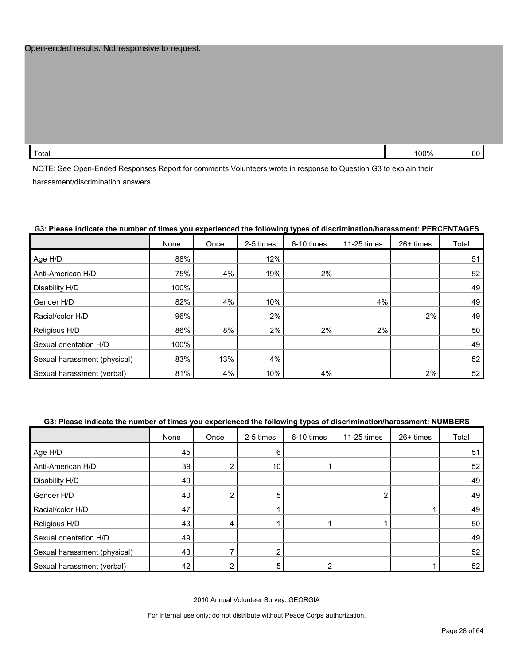Total 100% 60  $\,$  100% 60  $\,$  60  $\,$  100% 60  $\,$  60  $\,$  60  $\,$  60  $\,$  60  $\,$  60  $\,$  60  $\,$  60  $\,$  60  $\,$  60  $\,$  60  $\,$  60  $\,$  60  $\,$  60  $\,$  60  $\,$  60  $\,$  60  $\,$  60  $\,$  60  $\,$  60  $\,$  60  $\,$  60  $\,$ 

NOTE: See Open-Ended Responses Report for comments Volunteers wrote in response to Question G3 to explain their harassment/discrimination answers.

|                              | None | Once | 2-5 times | 6-10 times | 11-25 times | 26+ times | Total |
|------------------------------|------|------|-----------|------------|-------------|-----------|-------|
| Age H/D                      | 88%  |      | 12%       |            |             |           | 51    |
| Anti-American H/D            | 75%  | 4%   | 19%       | 2%         |             |           | 52    |
| Disability H/D               | 100% |      |           |            |             |           | 49    |
| Gender H/D                   | 82%  | 4%   | 10%       |            | 4%          |           | 49    |
| Racial/color H/D             | 96%  |      | 2%        |            |             | 2%        | 49    |
| Religious H/D                | 86%  | 8%   | 2%        | 2%         | 2%          |           | 50    |
| Sexual orientation H/D       | 100% |      |           |            |             |           | 49    |
| Sexual harassment (physical) | 83%  | 13%  | 4%        |            |             |           | 52    |
| Sexual harassment (verbal)   | 81%  | 4%   | 10%       | 4%         |             | 2%        | 52    |

#### **G3: Please indicate the number of times you experienced the following types of discrimination/harassment: PERCENTAGES**

#### **G3: Please indicate the number of times you experienced the following types of discrimination/harassment: NUMBERS**

|                              | None | Once           | 2-5 times | 6-10 times | 11-25 times | 26+ times | Total |
|------------------------------|------|----------------|-----------|------------|-------------|-----------|-------|
| Age H/D                      | 45   |                | 6         |            |             |           | 51    |
| Anti-American H/D            | 39   | $\overline{2}$ | 10        |            |             |           | 52    |
| Disability H/D               | 49   |                |           |            |             |           | 49    |
| Gender H/D                   | 40   | $\overline{2}$ | 5         |            | 2           |           | 49    |
| Racial/color H/D             | 47   |                |           |            |             |           | 49    |
| Religious H/D                | 43   | 4              |           |            |             |           | 50    |
| Sexual orientation H/D       | 49   |                |           |            |             |           | 49    |
| Sexual harassment (physical) | 43   |                |           |            |             |           | 52    |
| Sexual harassment (verbal)   | 42   |                | 5         |            |             |           | 52    |

2010 Annual Volunteer Survey: GEORGIA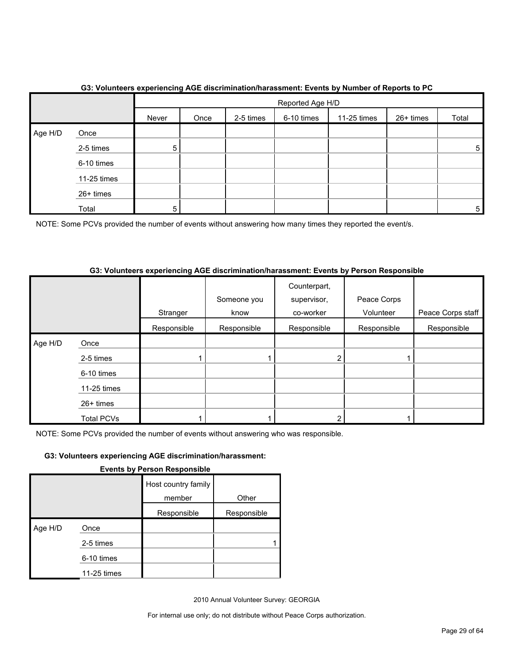|         |             |       | Reported Age H/D |           |            |             |           |       |  |
|---------|-------------|-------|------------------|-----------|------------|-------------|-----------|-------|--|
|         |             | Never | Once             | 2-5 times | 6-10 times | 11-25 times | 26+ times | Total |  |
| Age H/D | Once        |       |                  |           |            |             |           |       |  |
|         | 2-5 times   | 5     |                  |           |            |             |           | 5     |  |
|         | 6-10 times  |       |                  |           |            |             |           |       |  |
|         | 11-25 times |       |                  |           |            |             |           |       |  |
|         | 26+ times   |       |                  |           |            |             |           |       |  |
|         | Total       | 5     |                  |           |            |             |           | 5     |  |

#### **G3: Volunteers experiencing AGE discrimination/harassment: Events by Number of Reports to PC**

NOTE: Some PCVs provided the number of events without answering how many times they reported the event/s.

#### **G3: Volunteers experiencing AGE discrimination/harassment: Events by Person Responsible**

|         |                   |             | Someone you | Counterpart,<br>supervisor, | Peace Corps |                   |
|---------|-------------------|-------------|-------------|-----------------------------|-------------|-------------------|
|         |                   | Stranger    | know        | co-worker                   | Volunteer   | Peace Corps staff |
|         |                   | Responsible | Responsible | Responsible                 | Responsible | Responsible       |
| Age H/D | Once              |             |             |                             |             |                   |
|         | 2-5 times         |             |             | ົ                           |             |                   |
|         | 6-10 times        |             |             |                             |             |                   |
|         | 11-25 times       |             |             |                             |             |                   |
|         | 26+ times         |             |             |                             |             |                   |
|         | <b>Total PCVs</b> |             |             |                             |             |                   |

NOTE: Some PCVs provided the number of events without answering who was responsible.

#### **G3: Volunteers experiencing AGE discrimination/harassment:**

|  | <b>Events by Person Responsible</b> |  |
|--|-------------------------------------|--|
|  |                                     |  |
|  |                                     |  |

|         |             | Host country family<br>member | Other       |
|---------|-------------|-------------------------------|-------------|
|         |             | Responsible                   | Responsible |
| Age H/D | Once        |                               |             |
|         | 2-5 times   |                               |             |
|         | 6-10 times  |                               |             |
|         | 11-25 times |                               |             |

2010 Annual Volunteer Survey: GEORGIA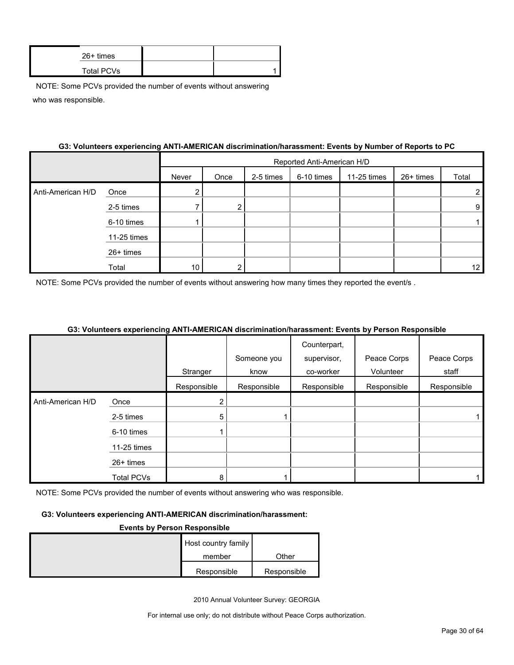| $26+$ times |  |
|-------------|--|
| Total PCVs  |  |

#### **G3: Volunteers experiencing ANTI-AMERICAN discrimination/harassment: Events by Number of Reports to PC**

|                   |             |       | Reported Anti-American H/D |           |            |             |           |                 |  |
|-------------------|-------------|-------|----------------------------|-----------|------------|-------------|-----------|-----------------|--|
|                   |             | Never | Once                       | 2-5 times | 6-10 times | 11-25 times | 26+ times | Total           |  |
| Anti-American H/D | Once        | ົ     |                            |           |            |             |           | 2               |  |
|                   | 2-5 times   |       | 2                          |           |            |             |           | 9               |  |
|                   | 6-10 times  |       |                            |           |            |             |           |                 |  |
|                   | 11-25 times |       |                            |           |            |             |           |                 |  |
|                   | 26+ times   |       |                            |           |            |             |           |                 |  |
|                   | Total       | 10    | ົ                          |           |            |             |           | 12 <sub>1</sub> |  |

NOTE: Some PCVs provided the number of events without answering how many times they reported the event/s.

#### **G3: Volunteers experiencing ANTI-AMERICAN discrimination/harassment: Events by Person Responsible**

|                   |                   |                |             | Counterpart, |             |             |
|-------------------|-------------------|----------------|-------------|--------------|-------------|-------------|
|                   |                   |                | Someone you | supervisor,  | Peace Corps | Peace Corps |
|                   |                   | Stranger       | know        | co-worker    | Volunteer   | staff       |
|                   |                   | Responsible    | Responsible | Responsible  | Responsible | Responsible |
| Anti-American H/D | Once              | $\overline{2}$ |             |              |             |             |
|                   | 2-5 times         | 5              |             |              |             |             |
|                   | 6-10 times        |                |             |              |             |             |
|                   | 11-25 times       |                |             |              |             |             |
|                   | 26+ times         |                |             |              |             |             |
|                   | <b>Total PCVs</b> | 8              |             |              |             |             |

NOTE: Some PCVs provided the number of events without answering who was responsible.

#### **G3: Volunteers experiencing ANTI-AMERICAN discrimination/harassment:**

#### **Events by Person Responsible**

| Host country family |             |
|---------------------|-------------|
| member              | Other       |
| Responsible         | Responsible |

2010 Annual Volunteer Survey: GEORGIA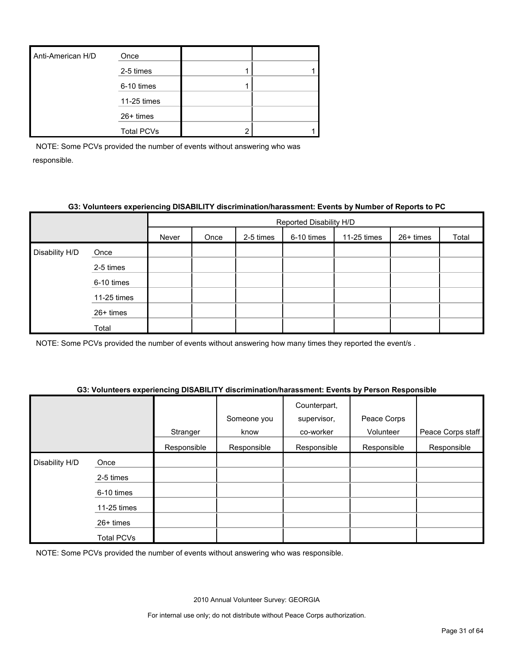| Anti-American H/D | Once              |  |
|-------------------|-------------------|--|
|                   | 2-5 times         |  |
|                   | 6-10 times        |  |
|                   | 11-25 times       |  |
|                   | 26+ times         |  |
|                   | <b>Total PCVs</b> |  |

#### **G3: Volunteers experiencing DISABILITY discrimination/harassment: Events by Number of Reports to PC**

|                |             |       | Reported Disability H/D |           |            |             |           |       |  |
|----------------|-------------|-------|-------------------------|-----------|------------|-------------|-----------|-------|--|
|                |             | Never | Once                    | 2-5 times | 6-10 times | 11-25 times | 26+ times | Total |  |
| Disability H/D | Once        |       |                         |           |            |             |           |       |  |
|                | 2-5 times   |       |                         |           |            |             |           |       |  |
|                | 6-10 times  |       |                         |           |            |             |           |       |  |
|                | 11-25 times |       |                         |           |            |             |           |       |  |
|                | 26+ times   |       |                         |           |            |             |           |       |  |
|                | Total       |       |                         |           |            |             |           |       |  |

NOTE: Some PCVs provided the number of events without answering how many times they reported the event/s .

#### **G3: Volunteers experiencing DISABILITY discrimination/harassment: Events by Person Responsible**

|                |             | Stranger    | Someone you<br>know | Counterpart,<br>supervisor,<br>co-worker | Peace Corps<br>Volunteer | Peace Corps staff |
|----------------|-------------|-------------|---------------------|------------------------------------------|--------------------------|-------------------|
|                |             | Responsible | Responsible         | Responsible                              | Responsible              | Responsible       |
| Disability H/D | Once        |             |                     |                                          |                          |                   |
|                | 2-5 times   |             |                     |                                          |                          |                   |
|                | 6-10 times  |             |                     |                                          |                          |                   |
|                | 11-25 times |             |                     |                                          |                          |                   |
|                | 26+ times   |             |                     |                                          |                          |                   |
|                | Total PCVs  |             |                     |                                          |                          |                   |

NOTE: Some PCVs provided the number of events without answering who was responsible.

2010 Annual Volunteer Survey: GEORGIA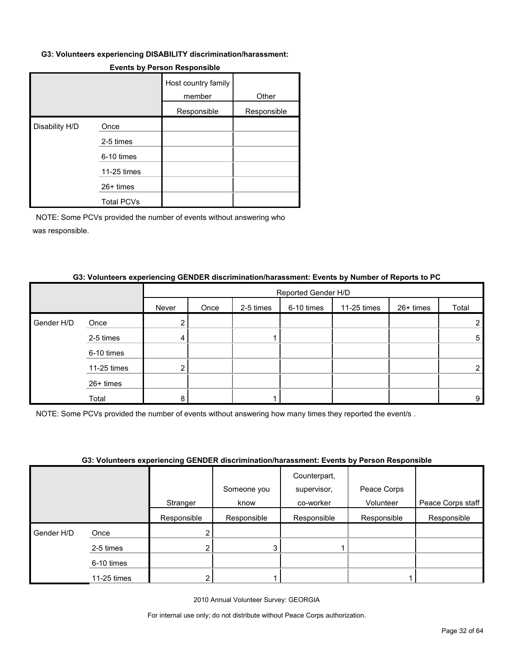#### **G3: Volunteers experiencing DISABILITY discrimination/harassment:**

|                |                   | Host country family<br>member | Other       |
|----------------|-------------------|-------------------------------|-------------|
|                |                   | Responsible                   | Responsible |
| Disability H/D | Once              |                               |             |
|                | 2-5 times         |                               |             |
|                | 6-10 times        |                               |             |
|                | 11-25 times       |                               |             |
|                | 26+ times         |                               |             |
|                | <b>Total PCVs</b> |                               |             |

#### **Events by Person Responsible**

NOTE: Some PCVs provided the number of events without answering who was responsible.

|            |             |       | Reported Gender H/D |           |            |             |           |                |
|------------|-------------|-------|---------------------|-----------|------------|-------------|-----------|----------------|
|            |             | Never | Once                | 2-5 times | 6-10 times | 11-25 times | 26+ times | Total          |
| Gender H/D | Once        | 2     |                     |           |            |             |           | 2              |
|            | 2-5 times   | 4     |                     |           |            |             |           | 5              |
|            | 6-10 times  |       |                     |           |            |             |           |                |
|            | 11-25 times | 2     |                     |           |            |             |           | $\overline{2}$ |
|            | 26+ times   |       |                     |           |            |             |           |                |
|            | Total       | 8     |                     |           |            |             |           | 9              |

#### **G3: Volunteers experiencing GENDER discrimination/harassment: Events by Number of Reports to PC**

NOTE: Some PCVs provided the number of events without answering how many times they reported the event/s .

#### **G3: Volunteers experiencing GENDER discrimination/harassment: Events by Person Responsible**

|            |             |             |             | Counterpart, |             |                   |
|------------|-------------|-------------|-------------|--------------|-------------|-------------------|
|            |             |             | Someone you | supervisor,  | Peace Corps |                   |
|            |             | Stranger    | know        | co-worker    | Volunteer   | Peace Corps staff |
|            |             | Responsible | Responsible | Responsible  | Responsible | Responsible       |
| Gender H/D | Once        |             |             |              |             |                   |
|            | 2-5 times   |             | 3           |              |             |                   |
|            | 6-10 times  |             |             |              |             |                   |
|            | 11-25 times |             |             |              |             |                   |

2010 Annual Volunteer Survey: GEORGIA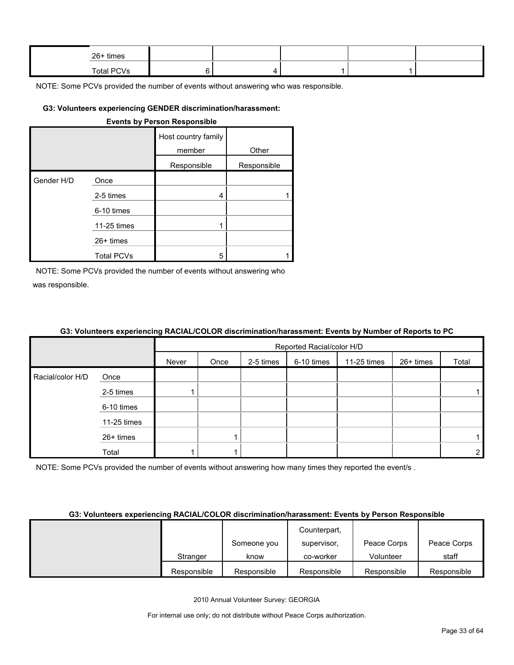| 26+ times  |  |  |  |
|------------|--|--|--|
| Total PCVs |  |  |  |

#### **G3: Volunteers experiencing GENDER discrimination/harassment:**

|            |                   | <b>Events by Person Responsible</b> |             |
|------------|-------------------|-------------------------------------|-------------|
|            |                   | Host country family<br>member       | Other       |
|            |                   | Responsible                         | Responsible |
| Gender H/D | Once              |                                     |             |
|            | 2-5 times         | 4                                   |             |
|            | 6-10 times        |                                     |             |
|            | 11-25 times       |                                     |             |
|            | $26+$ times       |                                     |             |
|            | <b>Total PCVs</b> | 5                                   |             |

NOTE: Some PCVs provided the number of events without answering who was responsible.

#### **G3: Volunteers experiencing RACIAL/COLOR discrimination/harassment: Events by Number of Reports to PC**

|                  |             |       | Reported Racial/color H/D |           |            |             |           |                |  |  |
|------------------|-------------|-------|---------------------------|-----------|------------|-------------|-----------|----------------|--|--|
|                  |             | Never | Once                      | 2-5 times | 6-10 times | 11-25 times | 26+ times | Total          |  |  |
| Racial/color H/D | Once        |       |                           |           |            |             |           |                |  |  |
|                  | 2-5 times   |       |                           |           |            |             |           |                |  |  |
|                  | 6-10 times  |       |                           |           |            |             |           |                |  |  |
|                  | 11-25 times |       |                           |           |            |             |           |                |  |  |
|                  | 26+ times   |       |                           |           |            |             |           |                |  |  |
|                  | Total       |       |                           |           |            |             |           | $\overline{2}$ |  |  |

NOTE: Some PCVs provided the number of events without answering how many times they reported the event/s.

#### **G3: Volunteers experiencing RACIAL/COLOR discrimination/harassment: Events by Person Responsible**

|             |             | Counterpart, |             |             |
|-------------|-------------|--------------|-------------|-------------|
|             | Someone you | supervisor,  | Peace Corps | Peace Corps |
| Stranger    | know        | co-worker    | Volunteer   | staff       |
| Responsible | Responsible | Responsible  | Responsible | Responsible |

2010 Annual Volunteer Survey: GEORGIA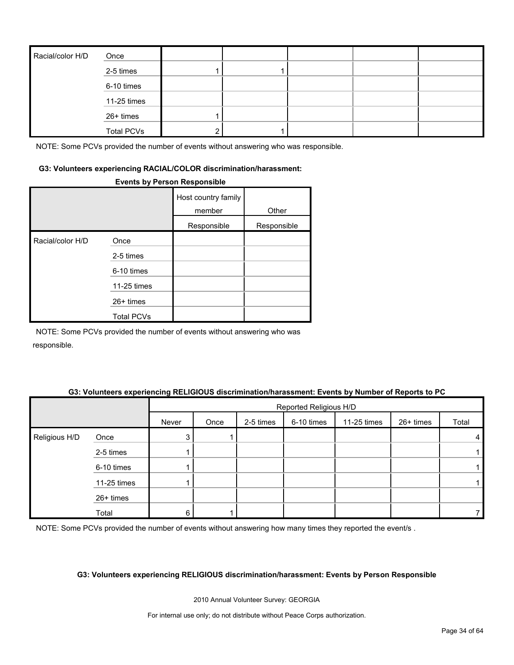| Racial/color H/D | Once              |  |  |  |
|------------------|-------------------|--|--|--|
|                  | 2-5 times         |  |  |  |
|                  | 6-10 times        |  |  |  |
|                  | 11-25 times       |  |  |  |
|                  | 26+ times         |  |  |  |
|                  | <b>Total PCVs</b> |  |  |  |

#### **G3: Volunteers experiencing RACIAL/COLOR discrimination/harassment:**

#### **Events by Person Responsible**

|                  |                   | Host country family<br>member | Other       |
|------------------|-------------------|-------------------------------|-------------|
|                  |                   | Responsible                   | Responsible |
| Racial/color H/D | Once              |                               |             |
|                  | 2-5 times         |                               |             |
|                  | 6-10 times        |                               |             |
|                  | 11-25 times       |                               |             |
|                  | $26+$ times       |                               |             |
|                  | <b>Total PCVs</b> |                               |             |

NOTE: Some PCVs provided the number of events without answering who was responsible.

#### **G3: Volunteers experiencing RELIGIOUS discrimination/harassment: Events by Number of Reports to PC**

|               |             | Reported Religious H/D |      |           |            |             |           |       |
|---------------|-------------|------------------------|------|-----------|------------|-------------|-----------|-------|
|               |             | Never                  | Once | 2-5 times | 6-10 times | 11-25 times | 26+ times | Total |
| Religious H/D | Once        | 3                      |      |           |            |             |           | 4     |
|               | 2-5 times   |                        |      |           |            |             |           |       |
|               | 6-10 times  |                        |      |           |            |             |           |       |
|               | 11-25 times |                        |      |           |            |             |           |       |
|               | 26+ times   |                        |      |           |            |             |           |       |
|               | Total       | 6                      |      |           |            |             |           |       |

NOTE: Some PCVs provided the number of events without answering how many times they reported the event/s.

#### **G3: Volunteers experiencing RELIGIOUS discrimination/harassment: Events by Person Responsible**

2010 Annual Volunteer Survey: GEORGIA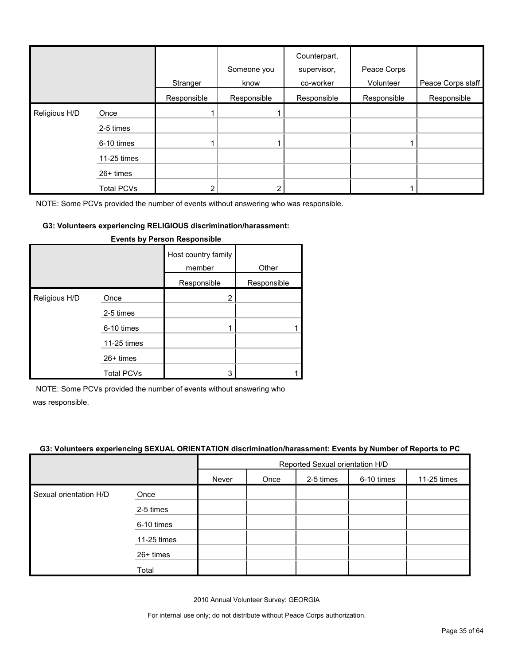|               |                   | Stranger    | Someone you<br>know | Counterpart,<br>supervisor,<br>co-worker | Peace Corps<br>Volunteer | Peace Corps staff |
|---------------|-------------------|-------------|---------------------|------------------------------------------|--------------------------|-------------------|
|               |                   | Responsible | Responsible         | Responsible                              | Responsible              | Responsible       |
| Religious H/D | Once              |             |                     |                                          |                          |                   |
|               | 2-5 times         |             |                     |                                          |                          |                   |
|               | 6-10 times        |             |                     |                                          |                          |                   |
|               | 11-25 times       |             |                     |                                          |                          |                   |
|               | 26+ times         |             |                     |                                          |                          |                   |
|               | <b>Total PCVs</b> | າ           |                     |                                          |                          |                   |

#### **G3: Volunteers experiencing RELIGIOUS discrimination/harassment:**

|               |                                                                                    | Host country family<br>member<br>Responsible | Other<br>Responsible |
|---------------|------------------------------------------------------------------------------------|----------------------------------------------|----------------------|
| Religious H/D | Once<br>2-5 times<br>6-10 times<br>11-25 times<br>$26+$ times<br><b>Total PCVs</b> | 2<br>3                                       |                      |

#### **Events by Person Responsible**

NOTE: Some PCVs provided the number of events without answering who

was responsible.

#### **G3: Volunteers experiencing SEXUAL ORIENTATION discrimination/harassment: Events by Number of Reports to PC**

|                        |             | Reported Sexual orientation H/D |      |           |            |             |
|------------------------|-------------|---------------------------------|------|-----------|------------|-------------|
|                        |             | Never                           | Once | 2-5 times | 6-10 times | 11-25 times |
| Sexual orientation H/D | Once        |                                 |      |           |            |             |
|                        | 2-5 times   |                                 |      |           |            |             |
|                        | 6-10 times  |                                 |      |           |            |             |
|                        | 11-25 times |                                 |      |           |            |             |
|                        | 26+ times   |                                 |      |           |            |             |
|                        | Total       |                                 |      |           |            |             |

2010 Annual Volunteer Survey: GEORGIA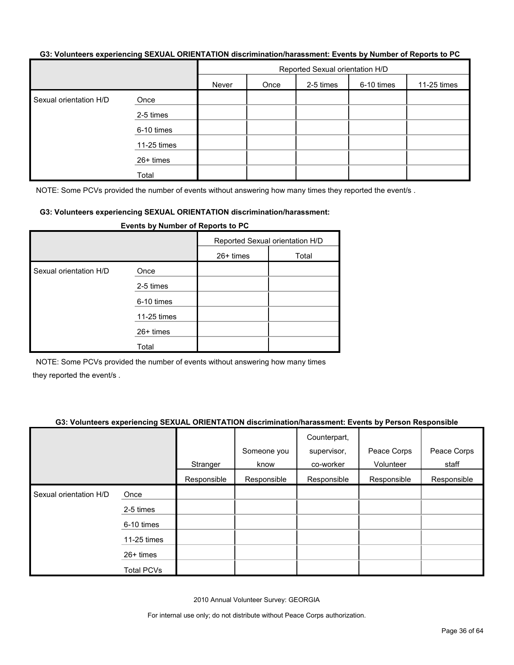#### **G3: Volunteers experiencing SEXUAL ORIENTATION discrimination/harassment: Events by Number of Reports to PC**

|                        |             | Reported Sexual orientation H/D |      |           |            |             |  |
|------------------------|-------------|---------------------------------|------|-----------|------------|-------------|--|
|                        |             | Never                           | Once | 2-5 times | 6-10 times | 11-25 times |  |
| Sexual orientation H/D | Once        |                                 |      |           |            |             |  |
|                        | 2-5 times   |                                 |      |           |            |             |  |
|                        | 6-10 times  |                                 |      |           |            |             |  |
|                        | 11-25 times |                                 |      |           |            |             |  |
|                        | 26+ times   |                                 |      |           |            |             |  |
|                        | Total       |                                 |      |           |            |             |  |

NOTE: Some PCVs provided the number of events without answering how many times they reported the event/s.

#### **G3: Volunteers experiencing SEXUAL ORIENTATION discrimination/harassment:**

| <b>Events by Number of Reports to PC</b> |             |                                 |       |  |  |
|------------------------------------------|-------------|---------------------------------|-------|--|--|
|                                          |             | Reported Sexual orientation H/D |       |  |  |
|                                          |             | $26+$ times                     | Total |  |  |
| Sexual orientation H/D                   | Once        |                                 |       |  |  |
|                                          | 2-5 times   |                                 |       |  |  |
|                                          | 6-10 times  |                                 |       |  |  |
|                                          | 11-25 times |                                 |       |  |  |
| $26+$ times                              |             |                                 |       |  |  |
|                                          | Total       |                                 |       |  |  |

NOTE: Some PCVs provided the number of events without answering how many times they reported the event/s .

#### **G3: Volunteers experiencing SEXUAL ORIENTATION discrimination/harassment: Events by Person Responsible**

|                        |                   | Stranger    | Someone you<br>know | Counterpart,<br>supervisor,<br>co-worker | Peace Corps<br>Volunteer | Peace Corps<br>staff |
|------------------------|-------------------|-------------|---------------------|------------------------------------------|--------------------------|----------------------|
|                        |                   | Responsible | Responsible         | Responsible                              | Responsible              | Responsible          |
| Sexual orientation H/D | Once              |             |                     |                                          |                          |                      |
|                        | 2-5 times         |             |                     |                                          |                          |                      |
|                        | 6-10 times        |             |                     |                                          |                          |                      |
|                        | 11-25 times       |             |                     |                                          |                          |                      |
|                        | 26+ times         |             |                     |                                          |                          |                      |
|                        | <b>Total PCVs</b> |             |                     |                                          |                          |                      |

2010 Annual Volunteer Survey: GEORGIA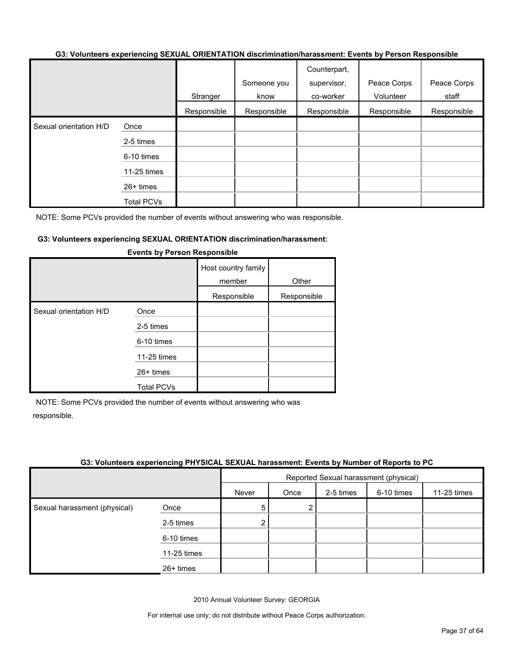#### **G3: Volunteers experiencing SEXUAL ORIENTATION discrimination/harassment: Events by Person Responsible**

|                        |                   |             | Someone you | Counterpart,<br>supervisor, | Peace Corps | Peace Corps |
|------------------------|-------------------|-------------|-------------|-----------------------------|-------------|-------------|
|                        |                   | Stranger    | know        | co-worker                   | Volunteer   | staff       |
|                        |                   | Responsible | Responsible | Responsible                 | Responsible | Responsible |
| Sexual orientation H/D | Once              |             |             |                             |             |             |
|                        | 2-5 times         |             |             |                             |             |             |
|                        | 6-10 times        |             |             |                             |             |             |
|                        | 11-25 times       |             |             |                             |             |             |
|                        | 26+ times         |             |             |                             |             |             |
|                        | <b>Total PCVs</b> |             |             |                             |             |             |

NOTE: Some PCVs provided the number of events without answering who was responsible.

#### **G3: Volunteers experiencing SEXUAL ORIENTATION discrimination/harassment:**

|                        |                   | Host country family<br>member<br>Responsible | Other<br>Responsible |
|------------------------|-------------------|----------------------------------------------|----------------------|
| Sexual orientation H/D | Once              |                                              |                      |
|                        | 2-5 times         |                                              |                      |
|                        | 6-10 times        |                                              |                      |
|                        | 11-25 times       |                                              |                      |
|                        | $26+$ times       |                                              |                      |
|                        | <b>Total PCVs</b> |                                              |                      |

#### **Events by Person Responsible**

NOTE: Some PCVs provided the number of events without answering who was responsible.

#### **G3: Volunteers experiencing PHYSICAL SEXUAL harassment: Events by Number of Reports to PC**

|                              |             | Reported Sexual harassment (physical) |      |           |            |             |
|------------------------------|-------------|---------------------------------------|------|-----------|------------|-------------|
|                              |             | Never                                 | Once | 2-5 times | 6-10 times | 11-25 times |
| Sexual harassment (physical) | Once        | 5                                     | 2    |           |            |             |
|                              | 2-5 times   | 2                                     |      |           |            |             |
|                              | 6-10 times  |                                       |      |           |            |             |
|                              | 11-25 times |                                       |      |           |            |             |
|                              | $26+$ times |                                       |      |           |            |             |

2010 Annual Volunteer Survey: GEORGIA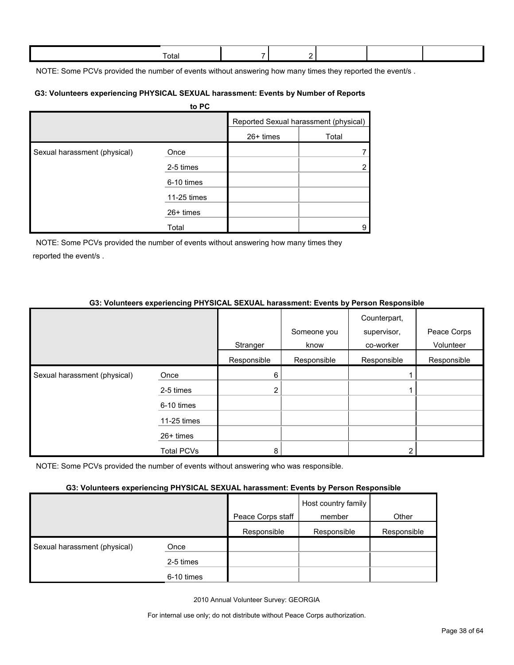| Γotal |  |  |  |
|-------|--|--|--|
|       |  |  |  |

NOTE: Some PCVs provided the number of events without answering how many times they reported the event/s.

#### **G3: Volunteers experiencing PHYSICAL SEXUAL harassment: Events by Number of Reports**

|                              | to PC       |             |                                       |
|------------------------------|-------------|-------------|---------------------------------------|
|                              |             |             | Reported Sexual harassment (physical) |
|                              |             | $26+$ times | Total                                 |
| Sexual harassment (physical) | Once        |             |                                       |
|                              | 2-5 times   |             | $\overline{2}$                        |
|                              | 6-10 times  |             |                                       |
|                              | 11-25 times |             |                                       |
|                              | $26+$ times |             |                                       |
|                              | Total       |             | 9                                     |

NOTE: Some PCVs provided the number of events without answering how many times they reported the event/s .

#### **G3: Volunteers experiencing PHYSICAL SEXUAL harassment: Events by Person Responsible**

|                              |                   | Stranger    | Someone you<br>know | Counterpart,<br>supervisor,<br>co-worker | Peace Corps<br>Volunteer |
|------------------------------|-------------------|-------------|---------------------|------------------------------------------|--------------------------|
|                              |                   | Responsible | Responsible         | Responsible                              | Responsible              |
| Sexual harassment (physical) | Once              | 6           |                     |                                          |                          |
|                              | 2-5 times         | 2           |                     |                                          |                          |
|                              | 6-10 times        |             |                     |                                          |                          |
|                              | 11-25 times       |             |                     |                                          |                          |
|                              | $26+$ times       |             |                     |                                          |                          |
|                              | <b>Total PCVs</b> | 8           |                     |                                          |                          |

NOTE: Some PCVs provided the number of events without answering who was responsible.

#### **G3: Volunteers experiencing PHYSICAL SEXUAL harassment: Events by Person Responsible**

|                              | . .        |                   |                               |             |
|------------------------------|------------|-------------------|-------------------------------|-------------|
|                              |            | Peace Corps staff | Host country family<br>member | Other       |
|                              |            | Responsible       | Responsible                   | Responsible |
| Sexual harassment (physical) | Once       |                   |                               |             |
|                              | 2-5 times  |                   |                               |             |
|                              | 6-10 times |                   |                               |             |

2010 Annual Volunteer Survey: GEORGIA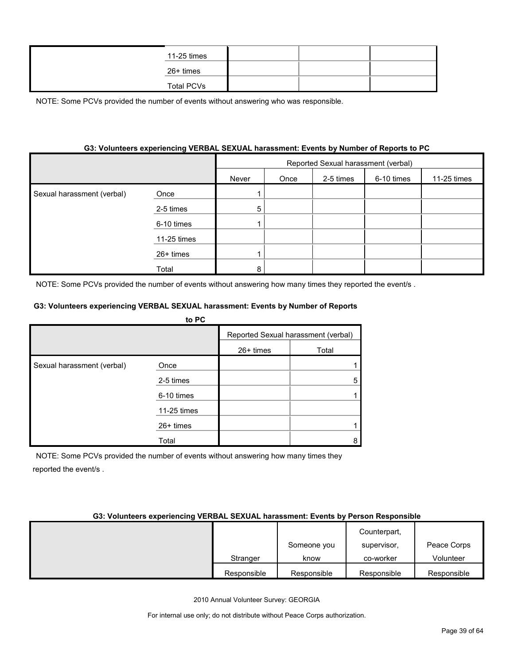|  | 11-25 times       |  |  |
|--|-------------------|--|--|
|  | 26+ times         |  |  |
|  | <b>Total PCVs</b> |  |  |

#### **G3: Volunteers experiencing VERBAL SEXUAL harassment: Events by Number of Reports to PC**

|                            |             | Reported Sexual harassment (verbal) |      |           |            |             |
|----------------------------|-------------|-------------------------------------|------|-----------|------------|-------------|
|                            |             | Never                               | Once | 2-5 times | 6-10 times | 11-25 times |
| Sexual harassment (verbal) | Once        |                                     |      |           |            |             |
|                            | 2-5 times   | 5                                   |      |           |            |             |
|                            | 6-10 times  |                                     |      |           |            |             |
|                            | 11-25 times |                                     |      |           |            |             |
|                            | $26+$ times |                                     |      |           |            |             |
|                            | Total       | 8                                   |      |           |            |             |

NOTE: Some PCVs provided the number of events without answering how many times they reported the event/s .

#### **G3: Volunteers experiencing VERBAL SEXUAL harassment: Events by Number of Reports**

|                            | to PC       |             |                                     |
|----------------------------|-------------|-------------|-------------------------------------|
|                            |             |             | Reported Sexual harassment (verbal) |
|                            |             | $26+$ times | Total                               |
| Sexual harassment (verbal) | Once        |             |                                     |
|                            | 2-5 times   |             |                                     |
|                            | 6-10 times  |             |                                     |
|                            | 11-25 times |             |                                     |
|                            | $26+$ times |             |                                     |
|                            | Total       |             | 8                                   |

NOTE: Some PCVs provided the number of events without answering how many times they reported the event/s .

#### **G3: Volunteers experiencing VERBAL SEXUAL harassment: Events by Person Responsible**

|             |             | Counterpart, |             |
|-------------|-------------|--------------|-------------|
|             | Someone you | supervisor,  | Peace Corps |
| Stranger    | know        | co-worker    | Volunteer   |
| Responsible | Responsible | Responsible  | Responsible |

2010 Annual Volunteer Survey: GEORGIA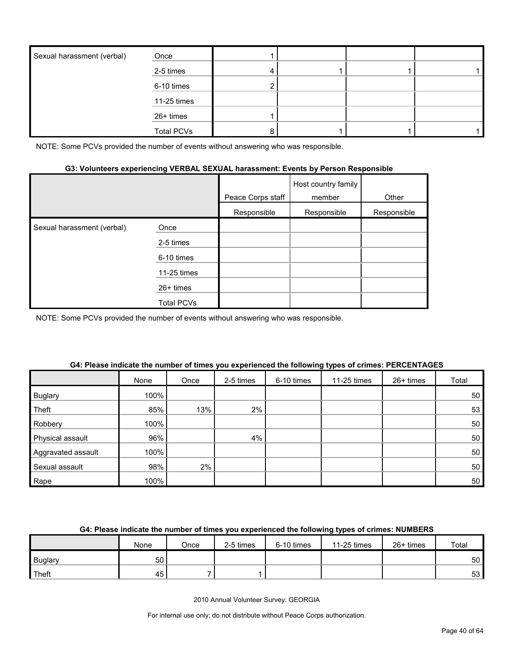| Sexual harassment (verbal) | Once              |  |  |
|----------------------------|-------------------|--|--|
|                            | 2-5 times         |  |  |
|                            | 6-10 times        |  |  |
|                            | 11-25 times       |  |  |
|                            | 26+ times         |  |  |
|                            | <b>Total PCVs</b> |  |  |

#### **G3: Volunteers experiencing VERBAL SEXUAL harassment: Events by Person Responsible**

|                            |             | Peace Corps staff | Host country family<br>member | Other       |
|----------------------------|-------------|-------------------|-------------------------------|-------------|
|                            |             | Responsible       | Responsible                   | Responsible |
| Sexual harassment (verbal) | Once        |                   |                               |             |
|                            | 2-5 times   |                   |                               |             |
|                            | 6-10 times  |                   |                               |             |
|                            | 11-25 times |                   |                               |             |
|                            | 26+ times   |                   |                               |             |
|                            | Total PCVs  |                   |                               |             |

NOTE: Some PCVs provided the number of events without answering who was responsible.

|                    | None | Once | 2-5 times | 6-10 times | 11-25 times | 26+ times | Total |
|--------------------|------|------|-----------|------------|-------------|-----------|-------|
| <b>Buglary</b>     | 100% |      |           |            |             |           | 50    |
| Theft              | 85%  | 13%  | 2%        |            |             |           | 53    |
| Robbery            | 100% |      |           |            |             |           | 50    |
| Physical assault   | 96%  |      | 4%        |            |             |           | 50    |
| Aggravated assault | 100% |      |           |            |             |           | 50    |
| Sexual assault     | 98%  | 2%   |           |            |             |           | 50    |
| Rape               | 100% |      |           |            |             |           | 50    |

#### **G4: Please indicate the number of times you experienced the following types of crimes: PERCENTAGES**

#### **G4: Please indicate the number of times you experienced the following types of crimes: NUMBERS**

|                | None | Once | 2-5 times | 6-10 times | 11-25 times | 26+ times | Total           |
|----------------|------|------|-----------|------------|-------------|-----------|-----------------|
| <b>Buglary</b> | 50   |      |           |            |             |           | 50 <sup>°</sup> |
| Theft          | 45   |      |           |            |             |           | 53              |

2010 Annual Volunteer Survey: GEORGIA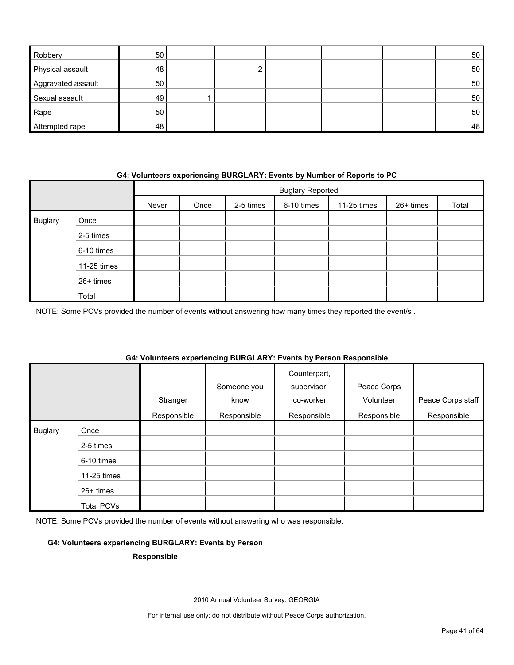| Robbery            | 50 |  |  | 50 |
|--------------------|----|--|--|----|
| Physical assault   | 48 |  |  | 50 |
| Aggravated assault | 50 |  |  | 50 |
| Sexual assault     | 49 |  |  | 50 |
| Rape               | 50 |  |  | 50 |
| Attempted rape     | 48 |  |  | 48 |

#### **G4: Volunteers experiencing BURGLARY: Events by Number of Reports to PC**

|                |             | <b>Buglary Reported</b> |      |           |            |             |           |       |
|----------------|-------------|-------------------------|------|-----------|------------|-------------|-----------|-------|
|                |             | Never                   | Once | 2-5 times | 6-10 times | 11-25 times | 26+ times | Total |
| <b>Buglary</b> | Once        |                         |      |           |            |             |           |       |
|                | 2-5 times   |                         |      |           |            |             |           |       |
|                | 6-10 times  |                         |      |           |            |             |           |       |
|                | 11-25 times |                         |      |           |            |             |           |       |
|                | 26+ times   |                         |      |           |            |             |           |       |
|                | Total       |                         |      |           |            |             |           |       |

NOTE: Some PCVs provided the number of events without answering how many times they reported the event/s .

#### **G4: Volunteers experiencing BURGLARY: Events by Person Responsible**

|                |                   |                         | Someone you         | Counterpart,<br>supervisor, | Peace Corps              |                                  |
|----------------|-------------------|-------------------------|---------------------|-----------------------------|--------------------------|----------------------------------|
|                |                   | Stranger<br>Responsible | know<br>Responsible | co-worker<br>Responsible    | Volunteer<br>Responsible | Peace Corps staff<br>Responsible |
|                |                   |                         |                     |                             |                          |                                  |
| <b>Buglary</b> | Once              |                         |                     |                             |                          |                                  |
|                | 2-5 times         |                         |                     |                             |                          |                                  |
|                | 6-10 times        |                         |                     |                             |                          |                                  |
|                | 11-25 times       |                         |                     |                             |                          |                                  |
|                | 26+ times         |                         |                     |                             |                          |                                  |
|                | <b>Total PCVs</b> |                         |                     |                             |                          |                                  |

NOTE: Some PCVs provided the number of events without answering who was responsible.

#### **G4: Volunteers experiencing BURGLARY: Events by Person**

#### **Responsible**

2010 Annual Volunteer Survey: GEORGIA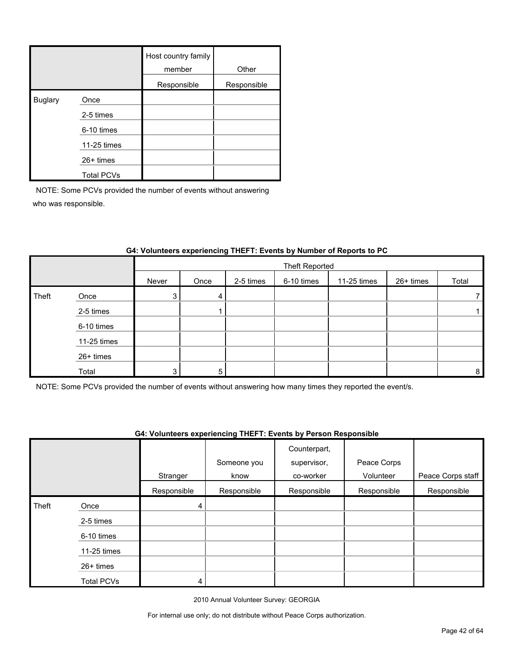|                |                   | Host country family<br>member | Other       |
|----------------|-------------------|-------------------------------|-------------|
|                |                   | Responsible                   | Responsible |
| <b>Buglary</b> | Once              |                               |             |
|                | 2-5 times         |                               |             |
|                | 6-10 times        |                               |             |
|                | 11-25 times       |                               |             |
|                | $26+$ times       |                               |             |
|                | <b>Total PCVs</b> |                               |             |

|       |             |       | Theft Reported |           |            |             |           |       |
|-------|-------------|-------|----------------|-----------|------------|-------------|-----------|-------|
|       |             | Never | Once           | 2-5 times | 6-10 times | 11-25 times | 26+ times | Total |
| Theft | Once        | 3     | 4              |           |            |             |           |       |
|       | 2-5 times   |       |                |           |            |             |           |       |
|       | 6-10 times  |       |                |           |            |             |           |       |
|       | 11-25 times |       |                |           |            |             |           |       |
|       | 26+ times   |       |                |           |            |             |           |       |
|       | Total       | 3     | 5              |           |            |             |           | 8     |

#### **G4: Volunteers experiencing THEFT: Events by Number of Reports to PC**

NOTE: Some PCVs provided the number of events without answering how many times they reported the event/s.

#### **G4: Volunteers experiencing THEFT: Events by Person Responsible**

|       |                   |             | Someone you | Counterpart,<br>supervisor, | Peace Corps |                   |
|-------|-------------------|-------------|-------------|-----------------------------|-------------|-------------------|
|       |                   | Stranger    | know        | co-worker                   | Volunteer   | Peace Corps staff |
|       |                   | Responsible | Responsible | Responsible                 | Responsible | Responsible       |
| Theft | Once              | 4           |             |                             |             |                   |
|       | 2-5 times         |             |             |                             |             |                   |
|       | 6-10 times        |             |             |                             |             |                   |
|       | 11-25 times       |             |             |                             |             |                   |
|       | $26+$ times       |             |             |                             |             |                   |
|       | <b>Total PCVs</b> | 4           |             |                             |             |                   |

2010 Annual Volunteer Survey: GEORGIA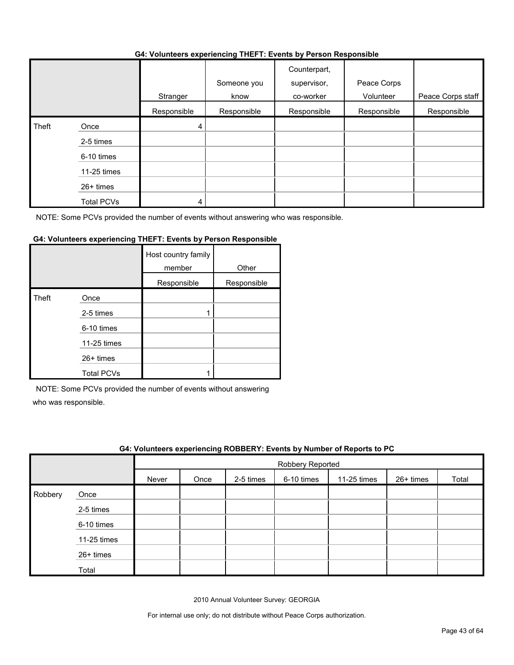#### **G4: Volunteers experiencing THEFT: Events by Person Responsible**

|       |                   |             | . <b>.</b>          |                                          |                          |                   |
|-------|-------------------|-------------|---------------------|------------------------------------------|--------------------------|-------------------|
|       |                   | Stranger    | Someone you<br>know | Counterpart,<br>supervisor,<br>co-worker | Peace Corps<br>Volunteer | Peace Corps staff |
|       |                   | Responsible | Responsible         | Responsible                              | Responsible              | Responsible       |
| Theft | Once              | 4           |                     |                                          |                          |                   |
|       | 2-5 times         |             |                     |                                          |                          |                   |
|       | 6-10 times        |             |                     |                                          |                          |                   |
|       | 11-25 times       |             |                     |                                          |                          |                   |
|       | 26+ times         |             |                     |                                          |                          |                   |
|       | <b>Total PCVs</b> | 4           |                     |                                          |                          |                   |

NOTE: Some PCVs provided the number of events without answering who was responsible.

#### **G4: Volunteers experiencing THEFT: Events by Person Responsible**

|       |                   | Host country family<br>member | Other       |
|-------|-------------------|-------------------------------|-------------|
|       |                   | Responsible                   | Responsible |
| Theft | Once              |                               |             |
|       | 2-5 times         |                               |             |
|       | 6-10 times        |                               |             |
|       | 11-25 times       |                               |             |
|       | 26+ times         |                               |             |
|       | <b>Total PCVs</b> |                               |             |

NOTE: Some PCVs provided the number of events without answering

who was responsible.

|         | G4: Volunteers experiencing ROBBERY: Events by Number of Reports to PC |       |                  |           |            |             |             |       |  |  |  |
|---------|------------------------------------------------------------------------|-------|------------------|-----------|------------|-------------|-------------|-------|--|--|--|
|         |                                                                        |       | Robbery Reported |           |            |             |             |       |  |  |  |
|         |                                                                        | Never | Once             | 2-5 times | 6-10 times | 11-25 times | $26+$ times | Total |  |  |  |
| Robbery | Once                                                                   |       |                  |           |            |             |             |       |  |  |  |
|         | 2-5 times                                                              |       |                  |           |            |             |             |       |  |  |  |
|         | 6-10 times                                                             |       |                  |           |            |             |             |       |  |  |  |
|         | 11-25 times                                                            |       |                  |           |            |             |             |       |  |  |  |
|         | 26+ times                                                              |       |                  |           |            |             |             |       |  |  |  |
|         | Total                                                                  |       |                  |           |            |             |             |       |  |  |  |

2010 Annual Volunteer Survey: GEORGIA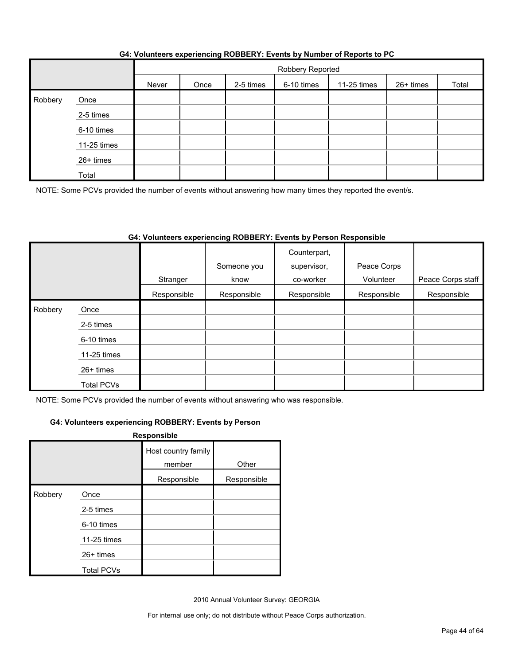|         |             | Robbery Reported |      |           |            |             |           |       |  |  |
|---------|-------------|------------------|------|-----------|------------|-------------|-----------|-------|--|--|
|         |             | Never            | Once | 2-5 times | 6-10 times | 11-25 times | 26+ times | Total |  |  |
| Robbery | Once        |                  |      |           |            |             |           |       |  |  |
|         | 2-5 times   |                  |      |           |            |             |           |       |  |  |
|         | 6-10 times  |                  |      |           |            |             |           |       |  |  |
|         | 11-25 times |                  |      |           |            |             |           |       |  |  |
|         | 26+ times   |                  |      |           |            |             |           |       |  |  |
|         | Total       |                  |      |           |            |             |           |       |  |  |

NOTE: Some PCVs provided the number of events without answering how many times they reported the event/s.

#### **G4: Volunteers experiencing ROBBERY: Events by Person Responsible**

|              |                   |             | Someone you | Counterpart,<br>supervisor,<br>co-worker | Peace Corps<br>Volunteer |                   |
|--------------|-------------------|-------------|-------------|------------------------------------------|--------------------------|-------------------|
|              |                   | Stranger    | know        |                                          |                          | Peace Corps staff |
|              |                   | Responsible | Responsible | Responsible                              | Responsible              | Responsible       |
| Robbery<br>Ι | Once              |             |             |                                          |                          |                   |
|              | 2-5 times         |             |             |                                          |                          |                   |
|              | 6-10 times        |             |             |                                          |                          |                   |
|              | 11-25 times       |             |             |                                          |                          |                   |
|              | 26+ times         |             |             |                                          |                          |                   |
|              | <b>Total PCVs</b> |             |             |                                          |                          |                   |

NOTE: Some PCVs provided the number of events without answering who was responsible.

#### **G4: Volunteers experiencing ROBBERY: Events by Person**

| Responsible |                   |                               |             |  |  |  |  |  |
|-------------|-------------------|-------------------------------|-------------|--|--|--|--|--|
|             |                   | Host country family<br>member | Other       |  |  |  |  |  |
|             |                   | Responsible                   | Responsible |  |  |  |  |  |
| Robbery     | Once              |                               |             |  |  |  |  |  |
|             | 2-5 times         |                               |             |  |  |  |  |  |
|             | 6-10 times        |                               |             |  |  |  |  |  |
|             | 11-25 times       |                               |             |  |  |  |  |  |
|             | 26+ times         |                               |             |  |  |  |  |  |
|             | <b>Total PCVs</b> |                               |             |  |  |  |  |  |

2010 Annual Volunteer Survey: GEORGIA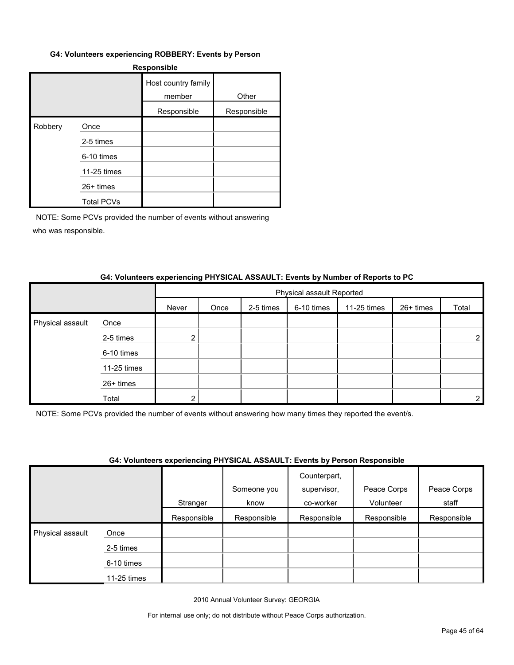#### **G4: Volunteers experiencing ROBBERY: Events by Person**

| <b>Responsible</b> |                   |                               |             |  |  |  |  |  |
|--------------------|-------------------|-------------------------------|-------------|--|--|--|--|--|
|                    |                   | Host country family<br>member | Other       |  |  |  |  |  |
|                    |                   | Responsible                   | Responsible |  |  |  |  |  |
| Robbery            | Once              |                               |             |  |  |  |  |  |
|                    | 2-5 times         |                               |             |  |  |  |  |  |
|                    | 6-10 times        |                               |             |  |  |  |  |  |
|                    | 11-25 times       |                               |             |  |  |  |  |  |
|                    | 26+ times         |                               |             |  |  |  |  |  |
|                    | <b>Total PCVs</b> |                               |             |  |  |  |  |  |

NOTE: Some PCVs provided the number of events without answering who was responsible.

#### **G4: Volunteers experiencing PHYSICAL ASSAULT: Events by Number of Reports to PC**

|                  |             |       | Physical assault Reported |           |            |             |           |       |  |  |
|------------------|-------------|-------|---------------------------|-----------|------------|-------------|-----------|-------|--|--|
|                  |             | Never | Once                      | 2-5 times | 6-10 times | 11-25 times | 26+ times | Total |  |  |
| Physical assault | Once        |       |                           |           |            |             |           |       |  |  |
|                  | 2-5 times   | ◠     |                           |           |            |             |           |       |  |  |
|                  | 6-10 times  |       |                           |           |            |             |           |       |  |  |
|                  | 11-25 times |       |                           |           |            |             |           |       |  |  |
|                  | 26+ times   |       |                           |           |            |             |           |       |  |  |
|                  | Total       |       |                           |           |            |             |           | ⌒     |  |  |

NOTE: Some PCVs provided the number of events without answering how many times they reported the event/s.

#### **G4: Volunteers experiencing PHYSICAL ASSAULT: Events by Person Responsible**

|                  |             | $\overline{\phantom{a}}$ |             | .<br>Counterpart, |             |             |
|------------------|-------------|--------------------------|-------------|-------------------|-------------|-------------|
|                  |             |                          | Someone you | supervisor,       | Peace Corps | Peace Corps |
|                  |             | Stranger                 | know        | co-worker         | Volunteer   | staff       |
|                  |             | Responsible              | Responsible | Responsible       | Responsible | Responsible |
| Physical assault | Once        |                          |             |                   |             |             |
|                  | 2-5 times   |                          |             |                   |             |             |
|                  | 6-10 times  |                          |             |                   |             |             |
|                  | 11-25 times |                          |             |                   |             |             |

2010 Annual Volunteer Survey: GEORGIA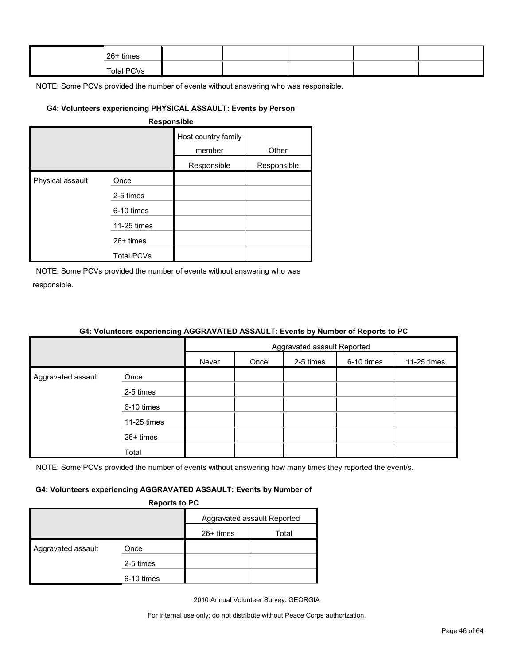| 26+ times         |  |  |  |
|-------------------|--|--|--|
| <b>Total PCVs</b> |  |  |  |

#### **G4: Volunteers experiencing PHYSICAL ASSAULT: Events by Person**

|                  |                   | Host country family<br>member | Other       |
|------------------|-------------------|-------------------------------|-------------|
|                  |                   | Responsible                   | Responsible |
| Physical assault | Once              |                               |             |
|                  | 2-5 times         |                               |             |
|                  | 6-10 times        |                               |             |
|                  | 11-25 times       |                               |             |
|                  | 26+ times         |                               |             |
|                  | <b>Total PCVs</b> |                               |             |

NOTE: Some PCVs provided the number of events without answering who was responsible.

|                    | <u>on relatively experiencing result in the restriction of number of hepene to re</u> |                             |      |           |            |             |  |  |
|--------------------|---------------------------------------------------------------------------------------|-----------------------------|------|-----------|------------|-------------|--|--|
|                    |                                                                                       | Aggravated assault Reported |      |           |            |             |  |  |
|                    |                                                                                       | Never                       | Once | 2-5 times | 6-10 times | 11-25 times |  |  |
| Aggravated assault | Once                                                                                  |                             |      |           |            |             |  |  |
|                    | 2-5 times                                                                             |                             |      |           |            |             |  |  |
|                    | 6-10 times                                                                            |                             |      |           |            |             |  |  |
|                    | $11-25$ times                                                                         |                             |      |           |            |             |  |  |
|                    | 26+ times                                                                             |                             |      |           |            |             |  |  |
|                    | Total                                                                                 |                             |      |           |            |             |  |  |

#### **G4: Volunteers experiencing AGGRAVATED ASSAULT: Events by Number of Reports to PC**

NOTE: Some PCVs provided the number of events without answering how many times they reported the event/s.

#### **G4: Volunteers experiencing AGGRAVATED ASSAULT: Events by Number of**

**Reports to PC**

|                    |            | Aggravated assault Reported |       |  |
|--------------------|------------|-----------------------------|-------|--|
|                    |            | $26+$ times                 | Total |  |
| Aggravated assault | Once       |                             |       |  |
|                    | 2-5 times  |                             |       |  |
|                    | 6-10 times |                             |       |  |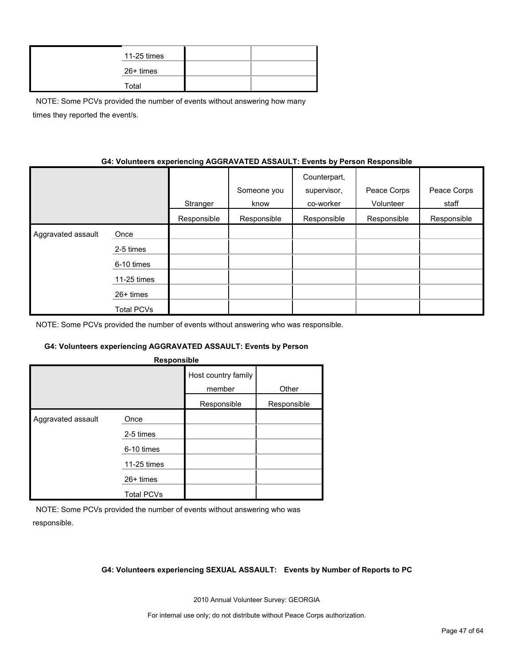| 11-25 times |  |
|-------------|--|
| 26+ times   |  |
| Total       |  |

NOTE: Some PCVs provided the number of events without answering how many times they reported the event/s.

#### **G4: Volunteers experiencing AGGRAVATED ASSAULT: Events by Person Responsible**

|                    |             | Stranger    | Someone you<br>know | Counterpart,<br>supervisor,<br>co-worker | Peace Corps<br>Volunteer | Peace Corps<br>staff |
|--------------------|-------------|-------------|---------------------|------------------------------------------|--------------------------|----------------------|
|                    |             | Responsible | Responsible         | Responsible                              | Responsible              | Responsible          |
| Aggravated assault | Once        |             |                     |                                          |                          |                      |
|                    | 2-5 times   |             |                     |                                          |                          |                      |
|                    | 6-10 times  |             |                     |                                          |                          |                      |
|                    | 11-25 times |             |                     |                                          |                          |                      |
|                    | 26+ times   |             |                     |                                          |                          |                      |
|                    | Total PCVs  |             |                     |                                          |                          |                      |

NOTE: Some PCVs provided the number of events without answering who was responsible.

#### **G4: Volunteers experiencing AGGRAVATED ASSAULT: Events by Person**

| Host country family<br>member<br>Other<br>Responsible<br>Responsible<br>Aggravated assault<br>Once<br>2-5 times<br>6-10 times | Responsible |  |  |  |  |  |  |
|-------------------------------------------------------------------------------------------------------------------------------|-------------|--|--|--|--|--|--|
|                                                                                                                               |             |  |  |  |  |  |  |
|                                                                                                                               |             |  |  |  |  |  |  |
|                                                                                                                               |             |  |  |  |  |  |  |
|                                                                                                                               |             |  |  |  |  |  |  |
|                                                                                                                               |             |  |  |  |  |  |  |
| 11-25 times                                                                                                                   |             |  |  |  |  |  |  |
| 26+ times                                                                                                                     |             |  |  |  |  |  |  |
| <b>Total PCVs</b>                                                                                                             |             |  |  |  |  |  |  |

NOTE: Some PCVs provided the number of events without answering who was responsible.

#### **G4: Volunteers experiencing SEXUAL ASSAULT: Events by Number of Reports to PC**

2010 Annual Volunteer Survey: GEORGIA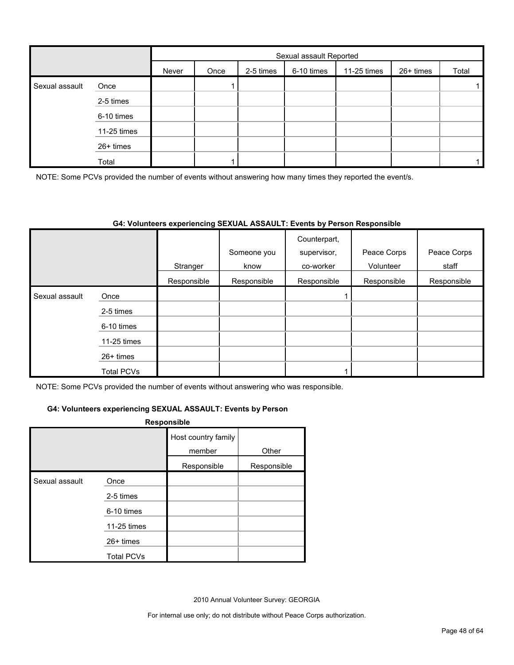|                |             | Sexual assault Reported |      |           |            |             |           |       |
|----------------|-------------|-------------------------|------|-----------|------------|-------------|-----------|-------|
|                |             | Never                   | Once | 2-5 times | 6-10 times | 11-25 times | 26+ times | Total |
| Sexual assault | Once        |                         |      |           |            |             |           |       |
|                | 2-5 times   |                         |      |           |            |             |           |       |
|                | 6-10 times  |                         |      |           |            |             |           |       |
|                | 11-25 times |                         |      |           |            |             |           |       |
|                | 26+ times   |                         |      |           |            |             |           |       |
|                | Total       |                         |      |           |            |             |           |       |

NOTE: Some PCVs provided the number of events without answering how many times they reported the event/s.

#### **G4: Volunteers experiencing SEXUAL ASSAULT: Events by Person Responsible**

|                |                   | Stranger    | Someone you<br>know | Counterpart,<br>supervisor,<br>co-worker | Peace Corps<br>Volunteer | Peace Corps<br>staff |
|----------------|-------------------|-------------|---------------------|------------------------------------------|--------------------------|----------------------|
|                |                   | Responsible | Responsible         | Responsible                              | Responsible              | Responsible          |
| Sexual assault | Once              |             |                     |                                          |                          |                      |
|                | 2-5 times         |             |                     |                                          |                          |                      |
|                | 6-10 times        |             |                     |                                          |                          |                      |
|                | 11-25 times       |             |                     |                                          |                          |                      |
|                | $26+$ times       |             |                     |                                          |                          |                      |
|                | <b>Total PCVs</b> |             |                     |                                          |                          |                      |

NOTE: Some PCVs provided the number of events without answering who was responsible.

#### **G4: Volunteers experiencing SEXUAL ASSAULT: Events by Person**

#### **Responsible**

|                |                   | Host country family<br>member | Other       |
|----------------|-------------------|-------------------------------|-------------|
|                |                   | Responsible                   | Responsible |
| Sexual assault | Once              |                               |             |
|                | 2-5 times         |                               |             |
|                | 6-10 times        |                               |             |
|                | 11-25 times       |                               |             |
|                | 26+ times         |                               |             |
|                | <b>Total PCVs</b> |                               |             |

2010 Annual Volunteer Survey: GEORGIA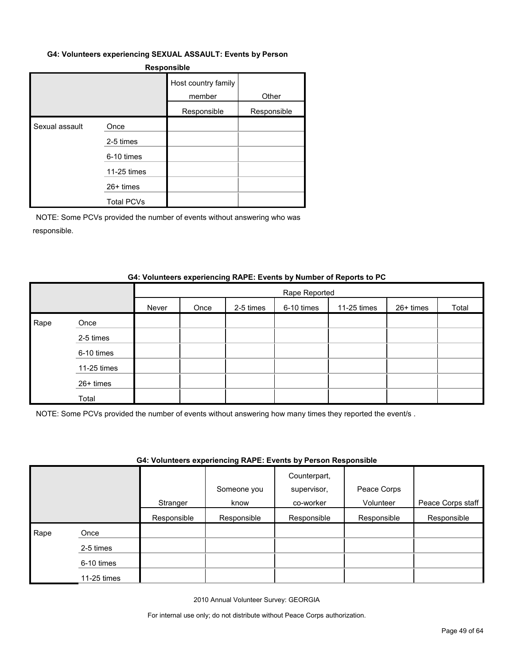#### **G4: Volunteers experiencing SEXUAL ASSAULT: Events by Person**

#### **Responsible**

|                |                   | Host country family<br>member | Other       |
|----------------|-------------------|-------------------------------|-------------|
|                |                   | Responsible                   | Responsible |
| Sexual assault | Once              |                               |             |
|                | 2-5 times         |                               |             |
|                | 6-10 times        |                               |             |
|                | 11-25 times       |                               |             |
|                | $26+$ times       |                               |             |
|                | <b>Total PCVs</b> |                               |             |

NOTE: Some PCVs provided the number of events without answering who was responsible.

#### **G4: Volunteers experiencing RAPE: Events by Number of Reports to PC**

|      |             |       | Rape Reported |           |            |             |           |       |
|------|-------------|-------|---------------|-----------|------------|-------------|-----------|-------|
|      |             | Never | Once          | 2-5 times | 6-10 times | 11-25 times | 26+ times | Total |
| Rape | Once        |       |               |           |            |             |           |       |
|      | 2-5 times   |       |               |           |            |             |           |       |
|      | 6-10 times  |       |               |           |            |             |           |       |
|      | 11-25 times |       |               |           |            |             |           |       |
|      | 26+ times   |       |               |           |            |             |           |       |
|      | Total       |       |               |           |            |             |           |       |

NOTE: Some PCVs provided the number of events without answering how many times they reported the event/s .

#### **G4: Volunteers experiencing RAPE: Events by Person Responsible**

|      |             | Stranger    | Someone you<br>know | Counterpart,<br>supervisor,<br>co-worker | Peace Corps<br>Volunteer | Peace Corps staff |
|------|-------------|-------------|---------------------|------------------------------------------|--------------------------|-------------------|
|      |             | Responsible | Responsible         | Responsible                              | Responsible              | Responsible       |
| Rape | Once        |             |                     |                                          |                          |                   |
|      | 2-5 times   |             |                     |                                          |                          |                   |
|      | 6-10 times  |             |                     |                                          |                          |                   |
|      | 11-25 times |             |                     |                                          |                          |                   |

2010 Annual Volunteer Survey: GEORGIA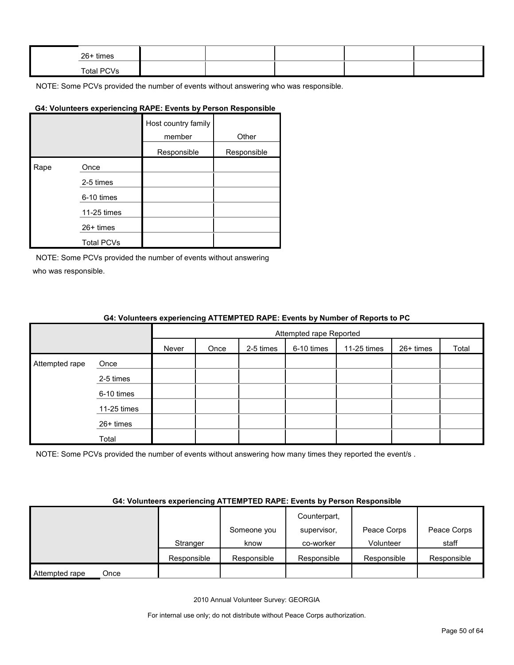| 26+ times  |  |  |  |
|------------|--|--|--|
| Total PCVs |  |  |  |

#### **G4: Volunteers experiencing RAPE: Events by Person Responsible**

|      |                   | Host country family<br>member | Other       |
|------|-------------------|-------------------------------|-------------|
|      |                   | Responsible                   | Responsible |
| Rape | Once              |                               |             |
|      | 2-5 times         |                               |             |
|      | 6-10 times        |                               |             |
|      | 11-25 times       |                               |             |
|      | $26+$ times       |                               |             |
|      | <b>Total PCVs</b> |                               |             |

NOTE: Some PCVs provided the number of events without answering who was responsible.

#### **G4: Volunteers experiencing ATTEMPTED RAPE: Events by Number of Reports to PC**

|                |             | Attempted rape Reported |      |           |            |             |           |       |
|----------------|-------------|-------------------------|------|-----------|------------|-------------|-----------|-------|
|                |             | Never                   | Once | 2-5 times | 6-10 times | 11-25 times | 26+ times | Total |
| Attempted rape | Once        |                         |      |           |            |             |           |       |
|                | 2-5 times   |                         |      |           |            |             |           |       |
|                | 6-10 times  |                         |      |           |            |             |           |       |
|                | 11-25 times |                         |      |           |            |             |           |       |
|                | 26+ times   |                         |      |           |            |             |           |       |
|                | Total       |                         |      |           |            |             |           |       |

NOTE: Some PCVs provided the number of events without answering how many times they reported the event/s.

#### **G4: Volunteers experiencing ATTEMPTED RAPE: Events by Person Responsible**

|                        |             |             | Counterpart, |             |             |
|------------------------|-------------|-------------|--------------|-------------|-------------|
|                        |             | Someone you | supervisor.  | Peace Corps | Peace Corps |
|                        | Stranger    | know        | co-worker    | Volunteer   | staff       |
|                        | Responsible | Responsible | Responsible  | Responsible | Responsible |
| Attempted rape<br>Once |             |             |              |             |             |

2010 Annual Volunteer Survey: GEORGIA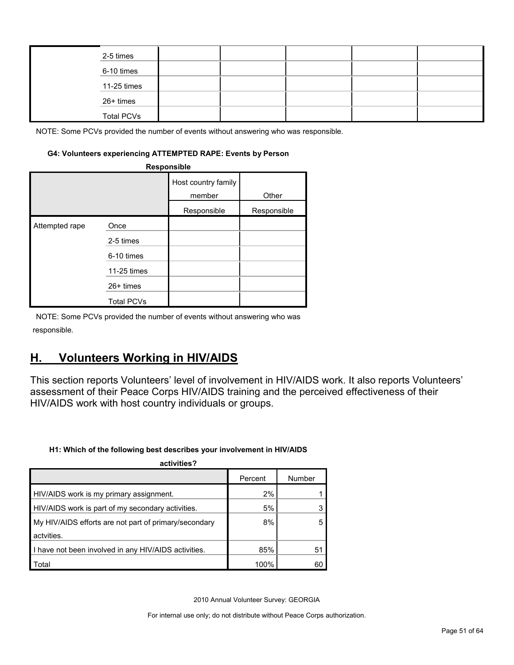|  | 2-5 times         |  |  |  |
|--|-------------------|--|--|--|
|  | 6-10 times        |  |  |  |
|  | 11-25 times       |  |  |  |
|  | 26+ times         |  |  |  |
|  | <b>Total PCVs</b> |  |  |  |

#### **G4: Volunteers experiencing ATTEMPTED RAPE: Events by Person**

| Responsible    |                   |                               |             |  |  |  |
|----------------|-------------------|-------------------------------|-------------|--|--|--|
|                |                   | Host country family<br>member | Other       |  |  |  |
|                |                   | Responsible                   | Responsible |  |  |  |
| Attempted rape | Once              |                               |             |  |  |  |
|                | 2-5 times         |                               |             |  |  |  |
|                | 6-10 times        |                               |             |  |  |  |
|                | 11-25 times       |                               |             |  |  |  |
|                | $26+$ times       |                               |             |  |  |  |
|                | <b>Total PCVs</b> |                               |             |  |  |  |

NOTE: Some PCVs provided the number of events without answering who was responsible.

# <span id="page-50-0"></span>**H. Volunteers Working in HIV/AIDS**

This section reports Volunteers' level of involvement in HIV/AIDS work. It also reports Volunteers' assessment of their Peace Corps HIV/AIDS training and the perceived effectiveness of their HIV/AIDS work with host country individuals or groups.

#### **H1: Which of the following best describes your involvement in HIV/AIDS**

| activities?                                           |         |        |
|-------------------------------------------------------|---------|--------|
|                                                       | Percent | Number |
| HIV/AIDS work is my primary assignment.               | 2%      |        |
| HIV/AIDS work is part of my secondary activities.     | 5%      |        |
| My HIV/AIDS efforts are not part of primary/secondary | 8%      |        |
| actvities.                                            |         |        |
| I have not been involved in any HIV/AIDS activities.  | 85%     | 51     |
| Total                                                 | 100%    | 60     |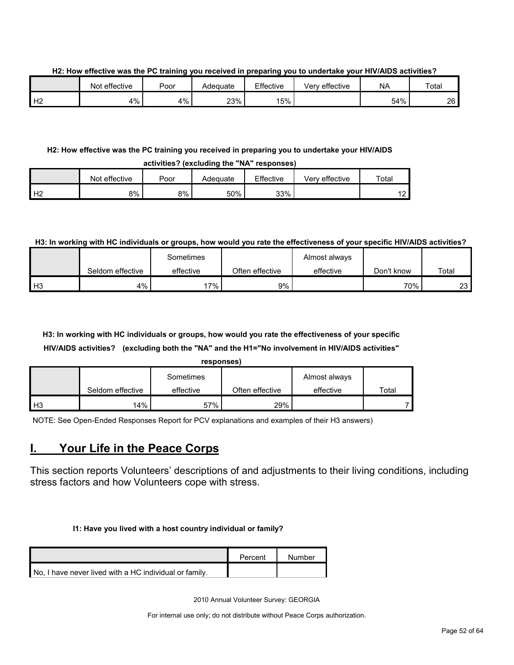**H2: How effective was the PC training you received in preparing you to undertake your HIV/AIDS activities?**

|    | Not effective | Poor | Adequate | Effective | Very effective | <b>NA</b> | Total |
|----|---------------|------|----------|-----------|----------------|-----------|-------|
| Н2 | 4%            | 4%   | 23%      | 15%       |                | 54%       | 26    |

#### **H2: How effective was the PC training you received in preparing you to undertake your HIV/AIDS activities? (excluding the "NA" responses)**

|   |                  |      |          | .         |                |                          |
|---|------------------|------|----------|-----------|----------------|--------------------------|
|   | effective<br>Not | Poor | Adequate | Effective | Verv effective | Total                    |
| ∸ | 8%               | 8%   | 50%      | 33%       |                | $\sqrt{2}$<br>. <u>.</u> |

#### **H3: In working with HC individuals or groups, how would you rate the effectiveness of your specific HIV/AIDS activities?**

|                |                  | Sometimes |                 | Almost always |            |       |
|----------------|------------------|-----------|-----------------|---------------|------------|-------|
|                | Seldom effective | effective | Often effective | effective     | Don't know | Total |
| H <sub>3</sub> | 4%               | `7%       | 9%              |               | 70%        | 23 I  |

## **H3: In working with HC individuals or groups, how would you rate the effectiveness of your specific HIV/AIDS activities? (excluding both the "NA" and the H1="No involvement in HIV/AIDS activities"**

| <b>STATE</b> | 'soons | . . |  |
|--------------|--------|-----|--|
|              |        |     |  |
|              |        |     |  |

|      |                  | Sometimes |                 | Almost always |             |
|------|------------------|-----------|-----------------|---------------|-------------|
|      | Seldom effective | effective | Often effective | effective     | $\tau$ otal |
| l H3 | 14%              | 57%       | 29%             |               |             |

NOTE: See Open-Ended Responses Report for PCV explanations and examples of their H3 answers)

# <span id="page-51-0"></span>**I. Your Life in the Peace Corps**

This section reports Volunteers' descriptions of and adjustments to their living conditions, including stress factors and how Volunteers cope with stress.

#### **I1: Have you lived with a host country individual or family?**

|                                                        | Percent | Number |
|--------------------------------------------------------|---------|--------|
| No. I have never lived with a HC individual or family. |         |        |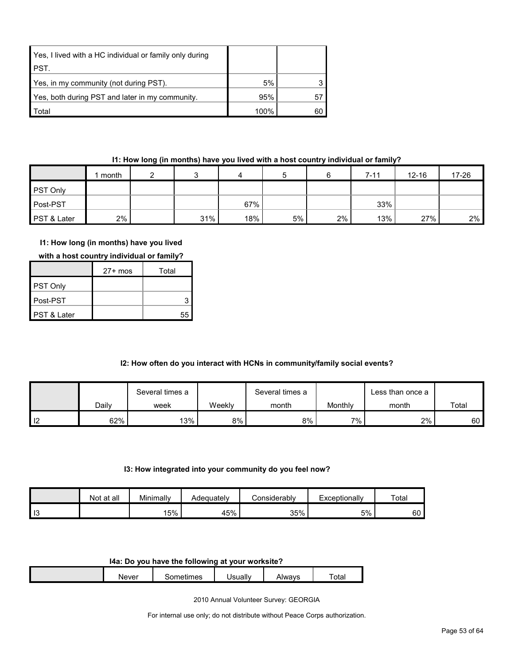| Yes, I lived with a HC individual or family only during |      |    |
|---------------------------------------------------------|------|----|
| <b>PST.</b>                                             |      |    |
| Yes, in my community (not during PST).                  | 5%   |    |
| Yes, both during PST and later in my community.         | 95%  | 57 |
| Total                                                   | 100% | 60 |

#### **I1: How long (in months) have you lived with a host country individual or family?**

|             | month |     | 4   |    |    | 7-11 | $12 - 16$ | 17-26 |
|-------------|-------|-----|-----|----|----|------|-----------|-------|
| PST Only    |       |     |     |    |    |      |           |       |
| Post-PST    |       |     | 67% |    |    | 33%  |           |       |
| PST & Later | 2%    | 31% | 18% | 5% | 2% | 13%  | 27%       | $2\%$ |

#### **I1: How long (in months) have you lived**

|  | with a host country individual or family? |
|--|-------------------------------------------|
|--|-------------------------------------------|

|                        | $27+$ mos | Total |
|------------------------|-----------|-------|
| <b>PST Only</b>        |           |       |
| ∎Post-PST              |           |       |
| <b>PST &amp; Later</b> |           | 55    |

#### **I2: How often do you interact with HCNs in community/family social events?**

|                |       | Several times a |        | Several times a |         | ∟ess than once a |       |
|----------------|-------|-----------------|--------|-----------------|---------|------------------|-------|
|                | Daily | week            | Weekly | month           | Monthly | month            | Total |
| $\blacksquare$ | 62%   | 13%             | 8%     | 8%              | $7\%$   | 2%               | 60 I  |

#### **I3: How integrated into your community do you feel now?**

|           | Not at all | Minimally | Adequatelv | Considerably | Exceptionally | Total |
|-----------|------------|-----------|------------|--------------|---------------|-------|
| -10<br>10 |            | 15%       | 45%        | 35%          | 5%            | 60    |

#### **I4a: Do you have the following at your worksite?**

| Never | mes<br>$   -$<br>.<br> | Jsually | Alwavs | $\overline{\phantom{a}}$<br>$\overline{a}$<br>⊺otal |
|-------|------------------------|---------|--------|-----------------------------------------------------|
|       |                        |         |        |                                                     |

2010 Annual Volunteer Survey: GEORGIA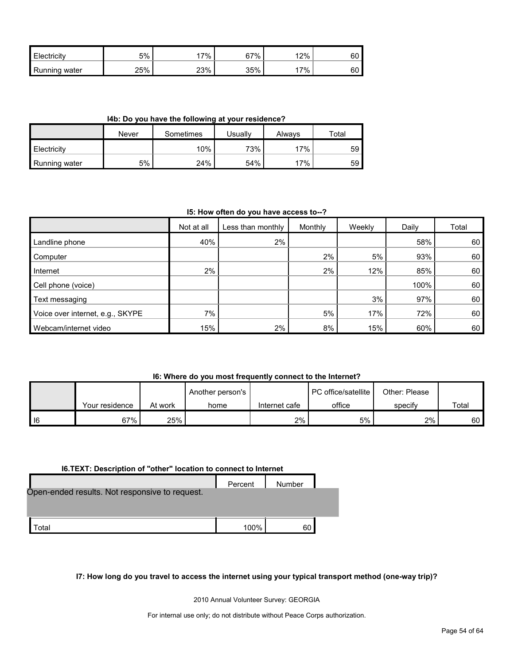| Electricity      | 5%  | $7\%$ . | 67% | 12%   | 60 |
|------------------|-----|---------|-----|-------|----|
| Running<br>water | 25% | 23%     | 35% | $7\%$ | 60 |

**I4b: Do you have the following at your residence?**

|               | Never | Sometimes | Usually | Alwavs | Total |
|---------------|-------|-----------|---------|--------|-------|
| Electricity   |       | $10\%$    | 73%     | 17%    | 59    |
| Running water | 5%    | 24%       | 54%     | 17%    | 59    |

#### **I5: How often do you have access to--?**

|                                  | Not at all | Less than monthly | Monthly | Weekly | Daily | Total |
|----------------------------------|------------|-------------------|---------|--------|-------|-------|
| Landline phone                   | 40%        | 2%                |         |        | 58%   | 60    |
| Computer                         |            |                   | 2%      | 5%     | 93%   | 60    |
| Internet                         | 2%         |                   | 2%      | 12%    | 85%   | 60    |
| Cell phone (voice)               |            |                   |         |        | 100%  | 60    |
| Text messaging                   |            |                   |         | 3%     | 97%   | 60    |
| Voice over internet, e.g., SKYPE | 7%         |                   | 5%      | 17%    | 72%   | 60    |
| Webcam/internet video            | 15%        | 2%                | 8%      | 15%    | 60%   | 60    |

#### **I6: Where do you most frequently connect to the Internet?**

|        |                |         | Another person's |               | I PC office/satellite | Other: Please |       |
|--------|----------------|---------|------------------|---------------|-----------------------|---------------|-------|
|        | Your residence | At work | home             | Internet cafe | office                | specify       | Total |
| $ $ 16 | 67%            | 25%     |                  | 2%            | 5%                    | 2%            | 60 I  |

#### **I6.TEXT: Description of "other" location to connect to Internet**

|                                                | Percent | Number |  |
|------------------------------------------------|---------|--------|--|
| Open-ended results. Not responsive to request. |         |        |  |
|                                                |         |        |  |
| otal                                           | 100%    | 60     |  |

#### **I7: How long do you travel to access the internet using your typical transport method (one-way trip)?**

2010 Annual Volunteer Survey: GEORGIA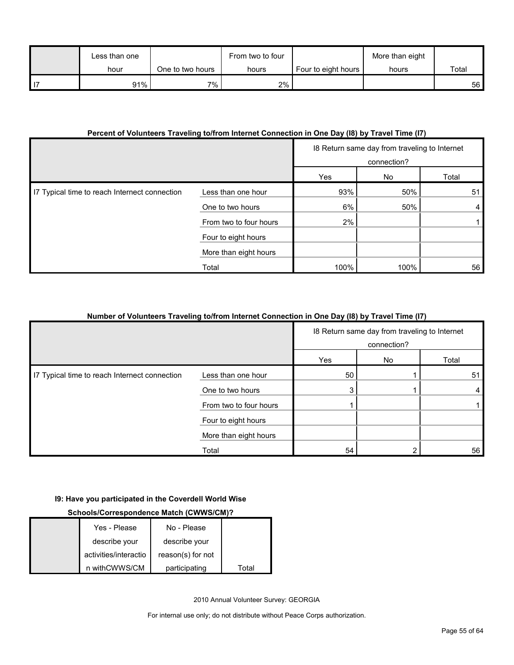| Less than one |                  | From two to four |                     | More than eight |       |
|---------------|------------------|------------------|---------------------|-----------------|-------|
| hour          | One to two hours | hours            | Four to eight hours | hours           | Total |
| 91%           | $7\%$ .          | 2%               |                     |                 | 56    |

#### **Percent of Volunteers Traveling to/from Internet Connection in One Day (I8) by Travel Time (I7)**

|                                               |                        | 18 Return same day from traveling to Internet<br>connection? |      |       |
|-----------------------------------------------|------------------------|--------------------------------------------------------------|------|-------|
|                                               |                        | Yes                                                          | No   | Total |
| I7 Typical time to reach Internect connection | Less than one hour     | 93%                                                          | 50%  | 51    |
|                                               | One to two hours       | 6%                                                           | 50%  | 4     |
|                                               | From two to four hours | 2%                                                           |      |       |
|                                               | Four to eight hours    |                                                              |      |       |
|                                               | More than eight hours  |                                                              |      |       |
|                                               | Total                  | 100%                                                         | 100% | 56    |

#### **Number of Volunteers Traveling to/from Internet Connection in One Day (I8) by Travel Time (I7)**

|                                               |                        | 18 Return same day from traveling to Internet<br>connection? |    |       |
|-----------------------------------------------|------------------------|--------------------------------------------------------------|----|-------|
|                                               |                        | Yes                                                          | No | Total |
| I7 Typical time to reach Internect connection | Less than one hour     | 50                                                           |    | 51    |
|                                               | One to two hours       | 3                                                            |    | 4     |
|                                               | From two to four hours |                                                              |    |       |
|                                               | Four to eight hours    |                                                              |    |       |
|                                               | More than eight hours  |                                                              |    |       |
|                                               | Total                  | 54                                                           |    | 56    |

#### **I9: Have you participated in the Coverdell World Wise**

#### **Schools/Correspondence Match (CWWS/CM)?**

| Yes - Please          | No - Please       |       |
|-----------------------|-------------------|-------|
| describe your         | describe your     |       |
| activities/interactio | reason(s) for not |       |
| n withCWWS/CM         | participating     | Total |

2010 Annual Volunteer Survey: GEORGIA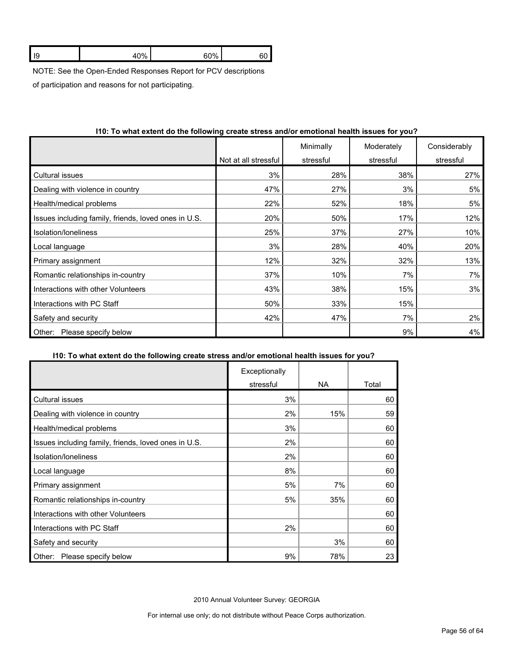| $\sim$ | $\sim$ $\sim$ $\sim$ |  |
|--------|----------------------|--|
|        |                      |  |

NOTE: See the Open-Ended Responses Report for PCV descriptions

of participation and reasons for not participating.

|                                                      | Not at all stressful | Minimally<br>stressful | Moderately<br>stressful | Considerably<br>stressful |
|------------------------------------------------------|----------------------|------------------------|-------------------------|---------------------------|
| Cultural issues                                      | 3%                   | 28%                    | 38%                     | 27%                       |
| Dealing with violence in country                     | 47%                  | 27%                    | 3%                      | 5%                        |
| Health/medical problems                              | 22%                  | 52%                    | 18%                     | 5%                        |
| Issues including family, friends, loved ones in U.S. | 20%                  | 50%                    | 17%                     | 12%                       |
| Isolation/loneliness                                 | 25%                  | 37%                    | 27%                     | 10%                       |
| Local language                                       | 3%                   | 28%                    | 40%                     | 20%                       |
| Primary assignment                                   | 12%                  | 32%                    | 32%                     | 13%                       |
| Romantic relationships in-country                    | 37%                  | 10%                    | 7%                      | 7%                        |
| Interactions with other Volunteers                   | 43%                  | 38%                    | 15%                     | 3%                        |
| Interactions with PC Staff                           | 50%                  | 33%                    | 15%                     |                           |
| Safety and security                                  | 42%                  | 47%                    | 7%                      | 2%                        |
| Please specify below<br>Other:                       |                      |                        | 9%                      | 4%                        |

#### **I10: To what extent do the following create stress and/or emotional health issues for you?**

#### **I10: To what extent do the following create stress and/or emotional health issues for you?**

|                                                      | Exceptionally |     |       |
|------------------------------------------------------|---------------|-----|-------|
|                                                      | stressful     | NA. | Total |
| <b>Cultural issues</b>                               | 3%            |     | 60    |
| Dealing with violence in country                     | 2%            | 15% | 59    |
| Health/medical problems                              | 3%            |     | 60    |
| Issues including family, friends, loved ones in U.S. | 2%            |     | 60    |
| Isolation/loneliness                                 | 2%            |     | 60    |
| Local language                                       | 8%            |     | 60    |
| Primary assignment                                   | 5%            | 7%  | 60    |
| Romantic relationships in-country                    | 5%            | 35% | 60    |
| Interactions with other Volunteers                   |               |     | 60    |
| Interactions with PC Staff                           | 2%            |     | 60    |
| Safety and security                                  |               | 3%  | 60    |
| Please specify below<br>Other:                       | 9%            | 78% | 23    |

2010 Annual Volunteer Survey: GEORGIA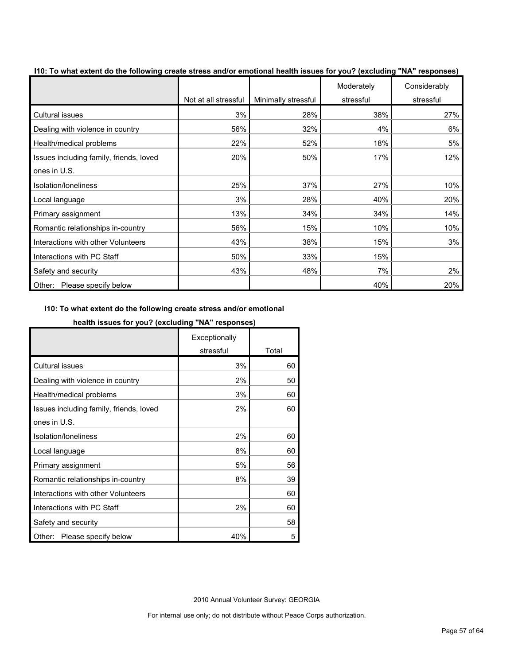|                                         | Not at all stressful | Minimally stressful | Moderately<br>stressful | Considerably<br>stressful |
|-----------------------------------------|----------------------|---------------------|-------------------------|---------------------------|
| Cultural issues                         | 3%                   | 28%                 | 38%                     | 27%                       |
| Dealing with violence in country        | 56%                  | 32%                 | 4%                      | 6%                        |
| Health/medical problems                 | 22%                  | 52%                 | 18%                     | 5%                        |
| Issues including family, friends, loved | 20%                  | 50%                 | 17%                     | 12%                       |
| ones in U.S.                            |                      |                     |                         |                           |
| Isolation/loneliness                    | 25%                  | 37%                 | 27%                     | 10%                       |
| Local language                          | 3%                   | 28%                 | 40%                     | 20%                       |
| Primary assignment                      | 13%                  | 34%                 | 34%                     | 14%                       |
| Romantic relationships in-country       | 56%                  | 15%                 | 10%                     | 10%                       |
| Interactions with other Volunteers      | 43%                  | 38%                 | 15%                     | 3%                        |
| Interactions with PC Staff              | 50%                  | 33%                 | 15%                     |                           |
| Safety and security                     | 43%                  | 48%                 | 7%                      | 2%                        |
| Please specify below<br>Other:          |                      |                     | 40%                     | 20%                       |

**I10: To what extent do the following create stress and/or emotional health issues for you? (excluding "NA" responses)**

#### **I10: To what extent do the following create stress and/or emotional**

#### **health issues for you? (excluding "NA" responses)**

|                                         | Exceptionally |       |
|-----------------------------------------|---------------|-------|
|                                         | stressful     | Total |
| <b>Cultural issues</b>                  | 3%            | 60    |
| Dealing with violence in country        | 2%            | 50    |
| Health/medical problems                 | 3%            | 60    |
| Issues including family, friends, loved | 2%            | 60    |
| ones in U.S.                            |               |       |
| Isolation/loneliness                    | 2%            | 60    |
| Local language                          | 8%            | 60    |
| Primary assignment                      | 5%            | 56    |
| Romantic relationships in-country       | 8%            | 39    |
| Interactions with other Volunteers      |               | 60    |
| Interactions with PC Staff              | 2%            | 60    |
| Safety and security                     |               | 58    |
| Please specify below<br>Other:          | 40%           | 5     |

2010 Annual Volunteer Survey: GEORGIA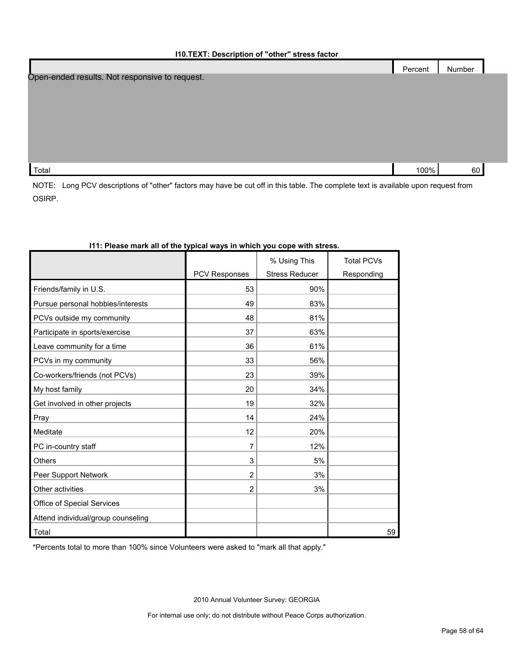|                                                | Percent | Number |  |
|------------------------------------------------|---------|--------|--|
| Open-ended results. Not responsive to request. |         |        |  |
|                                                |         |        |  |
|                                                |         |        |  |
|                                                |         |        |  |
|                                                |         |        |  |
|                                                |         |        |  |
|                                                |         |        |  |
| Total                                          | 100%    | 60     |  |

NOTE: Long PCV descriptions of "other" factors may have be cut off in this table. The complete text is available upon request from OSIRP.

|                                    |                      | % Using This          | <b>Total PCVs</b> |
|------------------------------------|----------------------|-----------------------|-------------------|
|                                    | <b>PCV Responses</b> | <b>Stress Reducer</b> | Responding        |
| Friends/family in U.S.             | 53                   | 90%                   |                   |
| Pursue personal hobbies/interests  | 49                   | 83%                   |                   |
| PCVs outside my community          | 48                   | 81%                   |                   |
| Participate in sports/exercise     | 37                   | 63%                   |                   |
| Leave community for a time         | 36                   | 61%                   |                   |
| PCVs in my community               | 33                   | 56%                   |                   |
| Co-workers/friends (not PCVs)      | 23                   | 39%                   |                   |
| My host family                     | 20                   | 34%                   |                   |
| Get involved in other projects     | 19                   | 32%                   |                   |
| Pray                               | 14                   | 24%                   |                   |
| Meditate                           | 12                   | 20%                   |                   |
| PC in-country staff                | 7                    | 12%                   |                   |
| <b>Others</b>                      | 3                    | 5%                    |                   |
| Peer Support Network               | 2                    | 3%                    |                   |
| Other activities                   | $\overline{2}$       | 3%                    |                   |
| Office of Special Services         |                      |                       |                   |
| Attend individual/group counseling |                      |                       |                   |
| Total                              |                      |                       | 59                |

#### **I11: Please mark all of the typical ways in which you cope with stress.**

\*Percents total to more than 100% since Volunteers were asked to "mark all that apply."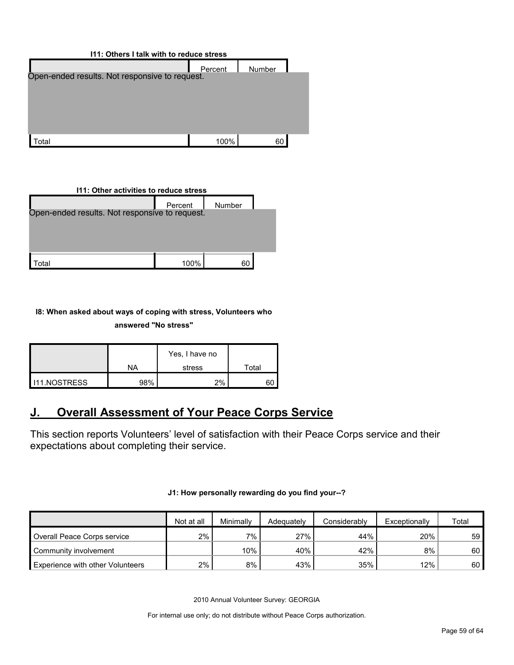| 111: Others I talk with to reduce stress       |         |        |  |  |  |  |
|------------------------------------------------|---------|--------|--|--|--|--|
|                                                | Percent | Number |  |  |  |  |
| Open-ended results. Not responsive to request. |         |        |  |  |  |  |
|                                                |         |        |  |  |  |  |
|                                                |         |        |  |  |  |  |
|                                                |         |        |  |  |  |  |
|                                                |         |        |  |  |  |  |
| ʻotal                                          | 100%    | 60     |  |  |  |  |

# **I11: Other activities to reduce stress** Percent Number Total 100% 60 Open-ended results. Not responsive to request.

#### **I8: When asked about ways of coping with stress, Volunteers who answered "No stress"**

|                      |     | Yes, I have no |       |
|----------------------|-----|----------------|-------|
|                      | ΝA  | stress         | Total |
| <b>I</b> I1.NOSTRESS | 98% | 2%             |       |

# <span id="page-58-0"></span>**J. Overall Assessment of Your Peace Corps Service**

This section reports Volunteers' level of satisfaction with their Peace Corps service and their expectations about completing their service.

#### **J1: How personally rewarding do you find your--?**

|                                         | Not at all | Minimally | Adequately | Considerably | Exceptionally | Total |
|-----------------------------------------|------------|-----------|------------|--------------|---------------|-------|
| Overall Peace Corps service             | 2%         | 7%        | 27%        | 44%          | 20%           | 59    |
| Community involvement                   |            | $10\%$    | 40%        | 42%          | 8%            | 60    |
| <b>Experience with other Volunteers</b> | 2%         | 8%        | 43%        | 35%          | $12\%$        | 60    |

2010 Annual Volunteer Survey: GEORGIA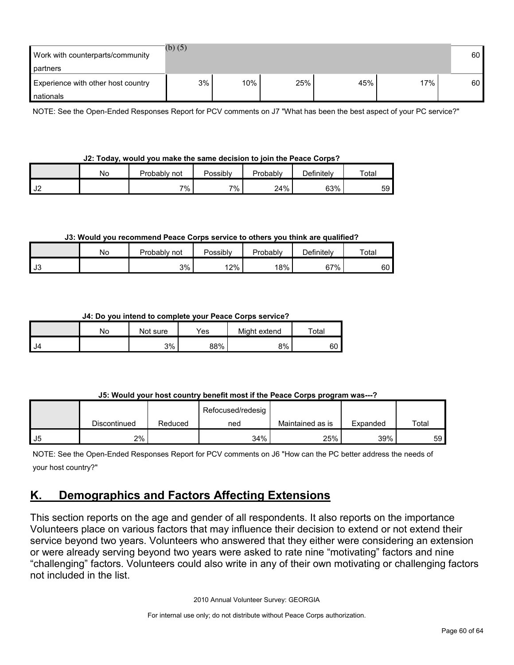| Work with counterparts/community<br>partners    | (b) $(5)$ |     |     |     |     | 60 <sup>1</sup> |
|-------------------------------------------------|-----------|-----|-----|-----|-----|-----------------|
| Experience with other host country<br>nationals | 3%        | 10% | 25% | 45% | 17% | 60 <sup>1</sup> |

NOTE: See the Open-Ended Responses Report for PCV comments on J7 "What has been the best aspect of your PC service?"

#### **J2: Today, would you make the same decision to join the Peace Corps?**

|                  | NG. | Probably<br>not | Possibly | Probably | Definitely | $\tau$ otal |
|------------------|-----|-----------------|----------|----------|------------|-------------|
| $\sim$ 10<br>∣J∠ |     | 7%              | 7%       | 24%      | 63%        | 59          |

#### **J3: Would you recommend Peace Corps service to others you think are qualified?**

|                          | Nο | Probably not | Possibly | Probably | Definitelv | Total |
|--------------------------|----|--------------|----------|----------|------------|-------|
| $\overline{10}$<br>- ს ა |    | 3%           | 12%      | 18%      | 67%        | 60 I  |

#### **J4: Do you intend to complete your Peace Corps service?**

|      | No | Not sure | Yes | Might extend | Total |
|------|----|----------|-----|--------------|-------|
| I J4 |    | 3%       | 88% | 8%           | 60    |

#### **J5: Would your host country benefit most if the Peace Corps program was---?**

|    |              |         | Refocused/redesig |                  |          |       |
|----|--------------|---------|-------------------|------------------|----------|-------|
|    | Discontinued | Reduced | ned               | Maintained as is | Expanded | Total |
| J5 | 2%           |         | 34%               | 25%              | 39%      | 59 I  |

NOTE: See the Open-Ended Responses Report for PCV comments on J6 "How can the PC better address the needs of your host country?"

# <span id="page-59-0"></span>**K. Demographics and Factors Affecting Extensions**

This section reports on the age and gender of all respondents. It also reports on the importance Volunteers place on various factors that may influence their decision to extend or not extend their service beyond two years. Volunteers who answered that they either were considering an extension or were already serving beyond two years were asked to rate nine "motivating" factors and nine "challenging" factors. Volunteers could also write in any of their own motivating or challenging factors not included in the list.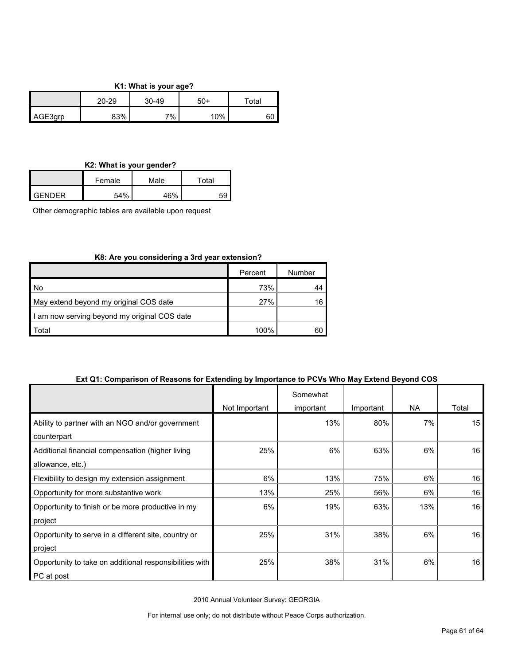#### **K1: What is your age?**

|         | 20-29 | $30 - 49$ | $50+$ |    |
|---------|-------|-----------|-------|----|
| AGE3qrp | 83%   | 7%        | 10%   | υυ |

#### **K2: What is your gender?**

|                | Female | Male | $\tau$ otal |
|----------------|--------|------|-------------|
| <b>LGENDER</b> | 54%    | 1601 |             |

Other demographic tables are available upon request

#### **K8: Are you considering a 3rd year extension?**

|                                              | Percent | Number |
|----------------------------------------------|---------|--------|
| No                                           | 73%     |        |
| May extend beyond my original COS date       | 27%     | 16     |
| I am now serving beyond my original COS date |         |        |
| Total                                        | 100%    | 60     |

#### **Ext Q1: Comparison of Reasons for Extending by Importance to PCVs Who May Extend Beyond COS**

|                                                         |               | Somewhat  |           |           |       |
|---------------------------------------------------------|---------------|-----------|-----------|-----------|-------|
|                                                         | Not Important | important | Important | <b>NA</b> | Total |
| Ability to partner with an NGO and/or government        |               | 13%       | 80%       | 7%        | 15    |
| counterpart                                             |               |           |           |           |       |
| Additional financial compensation (higher living        | 25%           | 6%        | 63%       | 6%        | 16    |
| allowance, etc.)                                        |               |           |           |           |       |
| Flexibility to design my extension assignment           | 6%            | 13%       | 75%       | 6%        | 16    |
| Opportunity for more substantive work                   | 13%           | 25%       | 56%       | 6%        | 16    |
| Opportunity to finish or be more productive in my       | 6%            | 19%       | 63%       | 13%       | 16    |
| project                                                 |               |           |           |           |       |
| Opportunity to serve in a different site, country or    | 25%           | 31%       | 38%       | 6%        | 16    |
| project                                                 |               |           |           |           |       |
| Opportunity to take on additional responsibilities with | 25%           | 38%       | 31%       | 6%        | 16    |
| PC at post                                              |               |           |           |           |       |

2010 Annual Volunteer Survey: GEORGIA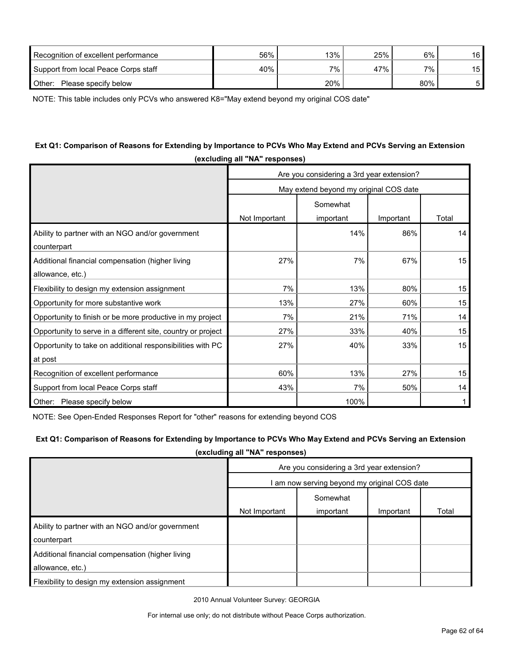| Recognition of excellent performance | 56% | 13% | 25% | 6%      | 16 |
|--------------------------------------|-----|-----|-----|---------|----|
| Support from local Peace Corps staff | 40% | 7%  | 47% | $7\%$ . | 15 |
| Please specify below<br>Other:       |     | 20% |     | 80%     |    |

NOTE: This table includes only PCVs who answered K8="May extend beyond my original COS date"

#### **Ext Q1: Comparison of Reasons for Extending by Importance to PCVs Who May Extend and PCVs Serving an Extension (excluding all "NA" responses)**

|                                                              |                                        | Are you considering a 3rd year extension? |           |       |  |  |  |
|--------------------------------------------------------------|----------------------------------------|-------------------------------------------|-----------|-------|--|--|--|
|                                                              | May extend beyond my original COS date |                                           |           |       |  |  |  |
|                                                              |                                        | Somewhat                                  |           |       |  |  |  |
|                                                              | Not Important                          | important                                 | Important | Total |  |  |  |
| Ability to partner with an NGO and/or government             |                                        | 14%                                       | 86%       | 14    |  |  |  |
| counterpart                                                  |                                        |                                           |           |       |  |  |  |
| Additional financial compensation (higher living             | 27%                                    | 7%                                        | 67%       | 15    |  |  |  |
| allowance, etc.)                                             |                                        |                                           |           |       |  |  |  |
| Flexibility to design my extension assignment                | 7%                                     | 13%                                       | 80%       | 15    |  |  |  |
| Opportunity for more substantive work                        | 13%                                    | 27%                                       | 60%       | 15    |  |  |  |
| Opportunity to finish or be more productive in my project    | 7%                                     | 21%                                       | 71%       | 14    |  |  |  |
| Opportunity to serve in a different site, country or project | 27%                                    | 33%                                       | 40%       | 15    |  |  |  |
| Opportunity to take on additional responsibilities with PC   | 27%                                    | 40%                                       | 33%       | 15    |  |  |  |
| at post                                                      |                                        |                                           |           |       |  |  |  |
| Recognition of excellent performance                         | 60%                                    | 13%                                       | 27%       | 15    |  |  |  |
| Support from local Peace Corps staff                         | 43%                                    | 7%                                        | 50%       | 14    |  |  |  |
| Other: Please specify below                                  |                                        | 100%                                      |           | 1     |  |  |  |

NOTE: See Open-Ended Responses Report for "other" reasons for extending beyond COS

#### **Ext Q1: Comparison of Reasons for Extending by Importance to PCVs Who May Extend and PCVs Serving an Extension**

**(excluding all "NA" responses)**

|                                                                      | Are you considering a 3rd year extension?    |           |           |       |
|----------------------------------------------------------------------|----------------------------------------------|-----------|-----------|-------|
|                                                                      | I am now serving beyond my original COS date |           |           |       |
|                                                                      | Somewhat                                     |           |           |       |
|                                                                      | Not Important                                | important | Important | Total |
| Ability to partner with an NGO and/or government<br>counterpart      |                                              |           |           |       |
| Additional financial compensation (higher living<br>allowance, etc.) |                                              |           |           |       |
| Flexibility to design my extension assignment                        |                                              |           |           |       |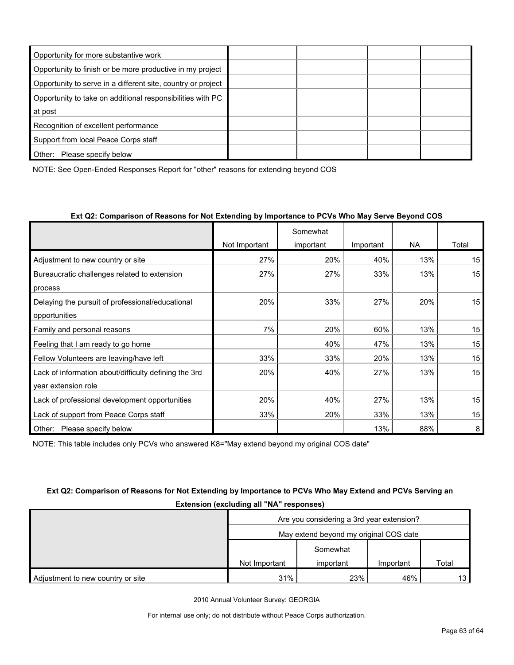| Opportunity for more substantive work                        |  |  |
|--------------------------------------------------------------|--|--|
| Opportunity to finish or be more productive in my project    |  |  |
| Opportunity to serve in a different site, country or project |  |  |
| Opportunity to take on additional responsibilities with PC   |  |  |
| at post                                                      |  |  |
| Recognition of excellent performance                         |  |  |
| Support from local Peace Corps staff                         |  |  |
| Other:<br>Please specify below                               |  |  |

NOTE: See Open-Ended Responses Report for "other" reasons for extending beyond COS

|                                                       |               | Somewhat  |           |     |                  |
|-------------------------------------------------------|---------------|-----------|-----------|-----|------------------|
|                                                       | Not Important | important | Important | NA. | Total            |
| Adjustment to new country or site                     | 27%           | 20%       | 40%       | 13% | 15               |
| Bureaucratic challenges related to extension          | 27%           | 27%       | 33%       | 13% | 15               |
| process                                               |               |           |           |     |                  |
| Delaying the pursuit of professional/educational      | 20%           | 33%       | 27%       | 20% | 15 <sub>15</sub> |
| opportunities                                         |               |           |           |     |                  |
| Family and personal reasons                           | 7%            | 20%       | 60%       | 13% | 15               |
| Feeling that I am ready to go home                    |               | 40%       | 47%       | 13% | 15               |
| Fellow Volunteers are leaving/have left               | 33%           | 33%       | 20%       | 13% | 15               |
| Lack of information about/difficulty defining the 3rd | 20%           | 40%       | 27%       | 13% | 15               |
| year extension role                                   |               |           |           |     |                  |
| Lack of professional development opportunities        | 20%           | 40%       | 27%       | 13% | 15               |
| Lack of support from Peace Corps staff                | 33%           | 20%       | 33%       | 13% | 15               |
| Please specify below<br>Other:                        |               |           | 13%       | 88% | 8                |

NOTE: This table includes only PCVs who answered K8="May extend beyond my original COS date"

## **Ext Q2: Comparison of Reasons for Not Extending by Importance to PCVs Who May Extend and PCVs Serving an Extension (excluding all "NA" responses)**

|                                   | Are you considering a 3rd year extension? |           |           |                 |
|-----------------------------------|-------------------------------------------|-----------|-----------|-----------------|
|                                   | May extend beyond my original COS date    |           |           |                 |
|                                   |                                           | Somewhat  |           |                 |
|                                   | Not Important                             | important | Important | Total           |
| Adjustment to new country or site | 31%                                       | 23%       | 46%       | 13 <sup>1</sup> |

2010 Annual Volunteer Survey: GEORGIA